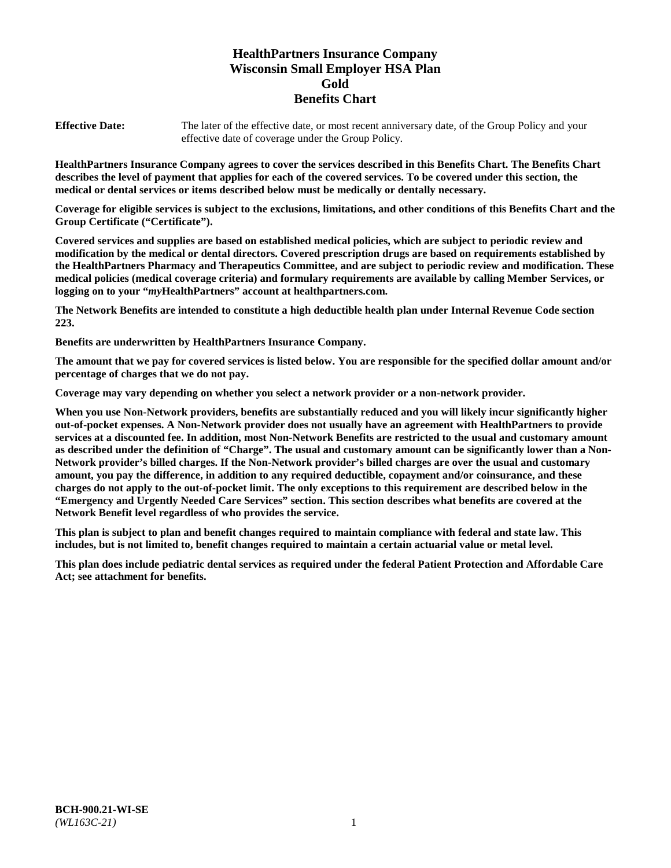# **HealthPartners Insurance Company Wisconsin Small Employer HSA Plan Gold Benefits Chart**

**Effective Date:** The later of the effective date, or most recent anniversary date, of the Group Policy and your effective date of coverage under the Group Policy.

**HealthPartners Insurance Company agrees to cover the services described in this Benefits Chart. The Benefits Chart describes the level of payment that applies for each of the covered services. To be covered under this section, the medical or dental services or items described below must be medically or dentally necessary.**

**Coverage for eligible services is subject to the exclusions, limitations, and other conditions of this Benefits Chart and the Group Certificate ("Certificate").**

**Covered services and supplies are based on established medical policies, which are subject to periodic review and modification by the medical or dental directors. Covered prescription drugs are based on requirements established by the HealthPartners Pharmacy and Therapeutics Committee, and are subject to periodic review and modification. These medical policies (medical coverage criteria) and formulary requirements are available by calling Member Services, or logging on to your "***my***HealthPartners" account at [healthpartners.com.](https://www.healthpartners.com/hp/index.html)**

**The Network Benefits are intended to constitute a high deductible health plan under Internal Revenue Code section 223.**

**Benefits are underwritten by HealthPartners Insurance Company.**

**The amount that we pay for covered services is listed below. You are responsible for the specified dollar amount and/or percentage of charges that we do not pay.**

**Coverage may vary depending on whether you select a network provider or a non-network provider.**

**When you use Non-Network providers, benefits are substantially reduced and you will likely incur significantly higher out-of-pocket expenses. A Non-Network provider does not usually have an agreement with HealthPartners to provide services at a discounted fee. In addition, most Non-Network Benefits are restricted to the usual and customary amount as described under the definition of "Charge". The usual and customary amount can be significantly lower than a Non-Network provider's billed charges. If the Non-Network provider's billed charges are over the usual and customary amount, you pay the difference, in addition to any required deductible, copayment and/or coinsurance, and these charges do not apply to the out-of-pocket limit. The only exceptions to this requirement are described below in the "Emergency and Urgently Needed Care Services" section. This section describes what benefits are covered at the Network Benefit level regardless of who provides the service.**

**This plan is subject to plan and benefit changes required to maintain compliance with federal and state law. This includes, but is not limited to, benefit changes required to maintain a certain actuarial value or metal level.**

**This plan does include pediatric dental services as required under the federal Patient Protection and Affordable Care Act; see attachment for benefits.**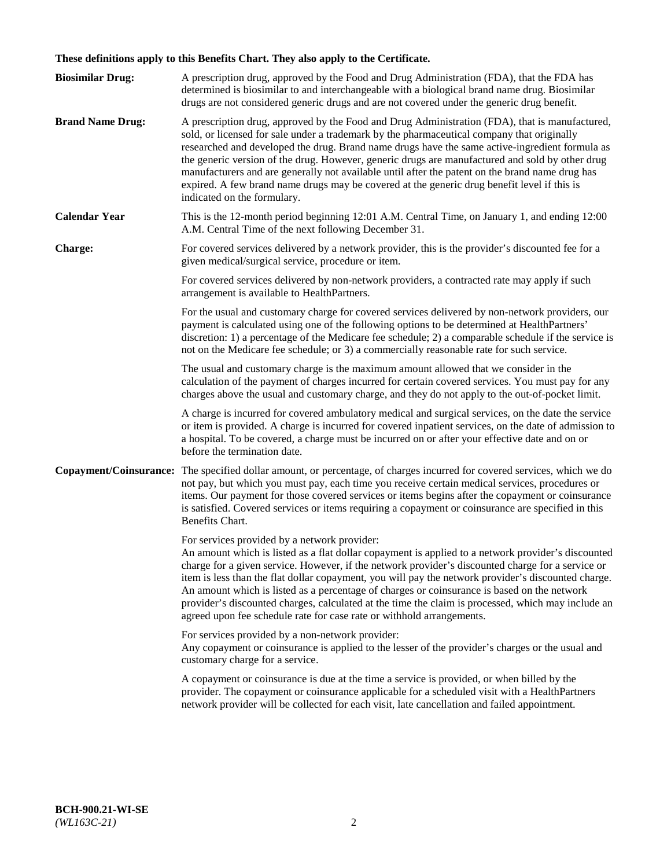# **These definitions apply to this Benefits Chart. They also apply to the Certificate.**

| <b>Biosimilar Drug:</b> | A prescription drug, approved by the Food and Drug Administration (FDA), that the FDA has<br>determined is biosimilar to and interchangeable with a biological brand name drug. Biosimilar<br>drugs are not considered generic drugs and are not covered under the generic drug benefit.                                                                                                                                                                                                                                                                                                                                                     |
|-------------------------|----------------------------------------------------------------------------------------------------------------------------------------------------------------------------------------------------------------------------------------------------------------------------------------------------------------------------------------------------------------------------------------------------------------------------------------------------------------------------------------------------------------------------------------------------------------------------------------------------------------------------------------------|
| <b>Brand Name Drug:</b> | A prescription drug, approved by the Food and Drug Administration (FDA), that is manufactured,<br>sold, or licensed for sale under a trademark by the pharmaceutical company that originally<br>researched and developed the drug. Brand name drugs have the same active-ingredient formula as<br>the generic version of the drug. However, generic drugs are manufactured and sold by other drug<br>manufacturers and are generally not available until after the patent on the brand name drug has<br>expired. A few brand name drugs may be covered at the generic drug benefit level if this is<br>indicated on the formulary.           |
| <b>Calendar Year</b>    | This is the 12-month period beginning 12:01 A.M. Central Time, on January 1, and ending 12:00<br>A.M. Central Time of the next following December 31.                                                                                                                                                                                                                                                                                                                                                                                                                                                                                        |
| <b>Charge:</b>          | For covered services delivered by a network provider, this is the provider's discounted fee for a<br>given medical/surgical service, procedure or item.                                                                                                                                                                                                                                                                                                                                                                                                                                                                                      |
|                         | For covered services delivered by non-network providers, a contracted rate may apply if such<br>arrangement is available to HealthPartners.                                                                                                                                                                                                                                                                                                                                                                                                                                                                                                  |
|                         | For the usual and customary charge for covered services delivered by non-network providers, our<br>payment is calculated using one of the following options to be determined at HealthPartners'<br>discretion: 1) a percentage of the Medicare fee schedule; 2) a comparable schedule if the service is<br>not on the Medicare fee schedule; or 3) a commercially reasonable rate for such service.                                                                                                                                                                                                                                          |
|                         | The usual and customary charge is the maximum amount allowed that we consider in the<br>calculation of the payment of charges incurred for certain covered services. You must pay for any<br>charges above the usual and customary charge, and they do not apply to the out-of-pocket limit.                                                                                                                                                                                                                                                                                                                                                 |
|                         | A charge is incurred for covered ambulatory medical and surgical services, on the date the service<br>or item is provided. A charge is incurred for covered inpatient services, on the date of admission to<br>a hospital. To be covered, a charge must be incurred on or after your effective date and on or<br>before the termination date.                                                                                                                                                                                                                                                                                                |
| Copayment/Coinsurance:  | The specified dollar amount, or percentage, of charges incurred for covered services, which we do<br>not pay, but which you must pay, each time you receive certain medical services, procedures or<br>items. Our payment for those covered services or items begins after the copayment or coinsurance<br>is satisfied. Covered services or items requiring a copayment or coinsurance are specified in this<br>Benefits Chart.                                                                                                                                                                                                             |
|                         | For services provided by a network provider:<br>An amount which is listed as a flat dollar copayment is applied to a network provider's discounted<br>charge for a given service. However, if the network provider's discounted charge for a service or<br>item is less than the flat dollar copayment, you will pay the network provider's discounted charge.<br>An amount which is listed as a percentage of charges or coinsurance is based on the network<br>provider's discounted charges, calculated at the time the claim is processed, which may include an<br>agreed upon fee schedule rate for case rate or withhold arrangements. |
|                         | For services provided by a non-network provider:<br>Any copayment or coinsurance is applied to the lesser of the provider's charges or the usual and<br>customary charge for a service.                                                                                                                                                                                                                                                                                                                                                                                                                                                      |
|                         | A copayment or coinsurance is due at the time a service is provided, or when billed by the<br>provider. The copayment or coinsurance applicable for a scheduled visit with a HealthPartners<br>network provider will be collected for each visit, late cancellation and failed appointment.                                                                                                                                                                                                                                                                                                                                                  |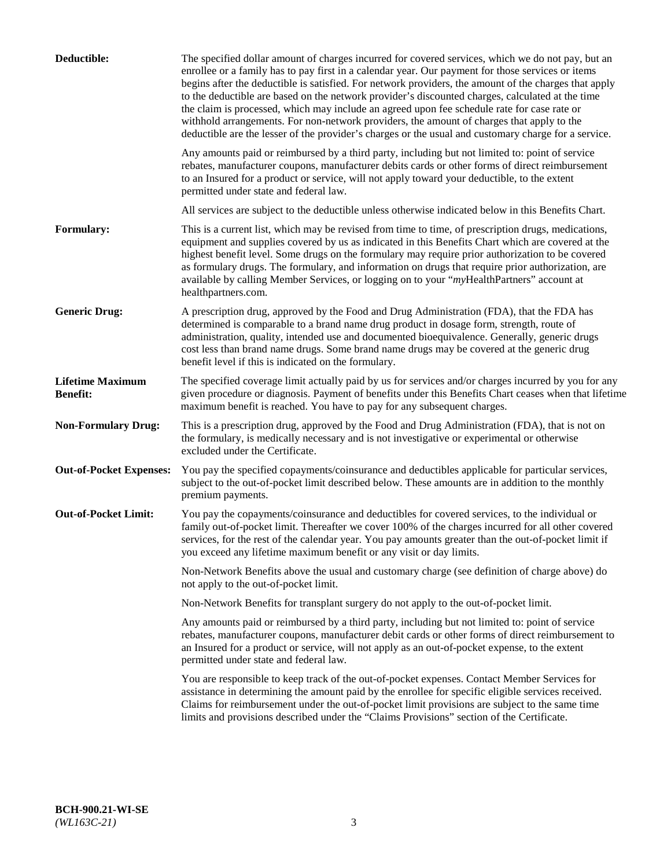| Deductible:                                | The specified dollar amount of charges incurred for covered services, which we do not pay, but an<br>enrollee or a family has to pay first in a calendar year. Our payment for those services or items<br>begins after the deductible is satisfied. For network providers, the amount of the charges that apply<br>to the deductible are based on the network provider's discounted charges, calculated at the time<br>the claim is processed, which may include an agreed upon fee schedule rate for case rate or<br>withhold arrangements. For non-network providers, the amount of charges that apply to the<br>deductible are the lesser of the provider's charges or the usual and customary charge for a service. |
|--------------------------------------------|-------------------------------------------------------------------------------------------------------------------------------------------------------------------------------------------------------------------------------------------------------------------------------------------------------------------------------------------------------------------------------------------------------------------------------------------------------------------------------------------------------------------------------------------------------------------------------------------------------------------------------------------------------------------------------------------------------------------------|
|                                            | Any amounts paid or reimbursed by a third party, including but not limited to: point of service<br>rebates, manufacturer coupons, manufacturer debits cards or other forms of direct reimbursement<br>to an Insured for a product or service, will not apply toward your deductible, to the extent<br>permitted under state and federal law.                                                                                                                                                                                                                                                                                                                                                                            |
|                                            | All services are subject to the deductible unless otherwise indicated below in this Benefits Chart.                                                                                                                                                                                                                                                                                                                                                                                                                                                                                                                                                                                                                     |
| <b>Formulary:</b>                          | This is a current list, which may be revised from time to time, of prescription drugs, medications,<br>equipment and supplies covered by us as indicated in this Benefits Chart which are covered at the<br>highest benefit level. Some drugs on the formulary may require prior authorization to be covered<br>as formulary drugs. The formulary, and information on drugs that require prior authorization, are<br>available by calling Member Services, or logging on to your "myHealthPartners" account at<br>healthpartners.com.                                                                                                                                                                                   |
| <b>Generic Drug:</b>                       | A prescription drug, approved by the Food and Drug Administration (FDA), that the FDA has<br>determined is comparable to a brand name drug product in dosage form, strength, route of<br>administration, quality, intended use and documented bioequivalence. Generally, generic drugs<br>cost less than brand name drugs. Some brand name drugs may be covered at the generic drug<br>benefit level if this is indicated on the formulary.                                                                                                                                                                                                                                                                             |
| <b>Lifetime Maximum</b><br><b>Benefit:</b> | The specified coverage limit actually paid by us for services and/or charges incurred by you for any<br>given procedure or diagnosis. Payment of benefits under this Benefits Chart ceases when that lifetime<br>maximum benefit is reached. You have to pay for any subsequent charges.                                                                                                                                                                                                                                                                                                                                                                                                                                |
| <b>Non-Formulary Drug:</b>                 | This is a prescription drug, approved by the Food and Drug Administration (FDA), that is not on<br>the formulary, is medically necessary and is not investigative or experimental or otherwise<br>excluded under the Certificate.                                                                                                                                                                                                                                                                                                                                                                                                                                                                                       |
| <b>Out-of-Pocket Expenses:</b>             | You pay the specified copayments/coinsurance and deductibles applicable for particular services,<br>subject to the out-of-pocket limit described below. These amounts are in addition to the monthly<br>premium payments.                                                                                                                                                                                                                                                                                                                                                                                                                                                                                               |
| <b>Out-of-Pocket Limit:</b>                | You pay the copayments/coinsurance and deductibles for covered services, to the individual or<br>family out-of-pocket limit. Thereafter we cover 100% of the charges incurred for all other covered<br>services, for the rest of the calendar year. You pay amounts greater than the out-of-pocket limit if<br>you exceed any lifetime maximum benefit or any visit or day limits.                                                                                                                                                                                                                                                                                                                                      |
|                                            | Non-Network Benefits above the usual and customary charge (see definition of charge above) do<br>not apply to the out-of-pocket limit.                                                                                                                                                                                                                                                                                                                                                                                                                                                                                                                                                                                  |
|                                            | Non-Network Benefits for transplant surgery do not apply to the out-of-pocket limit.                                                                                                                                                                                                                                                                                                                                                                                                                                                                                                                                                                                                                                    |
|                                            | Any amounts paid or reimbursed by a third party, including but not limited to: point of service<br>rebates, manufacturer coupons, manufacturer debit cards or other forms of direct reimbursement to<br>an Insured for a product or service, will not apply as an out-of-pocket expense, to the extent<br>permitted under state and federal law.                                                                                                                                                                                                                                                                                                                                                                        |
|                                            | You are responsible to keep track of the out-of-pocket expenses. Contact Member Services for<br>assistance in determining the amount paid by the enrollee for specific eligible services received.<br>Claims for reimbursement under the out-of-pocket limit provisions are subject to the same time<br>limits and provisions described under the "Claims Provisions" section of the Certificate.                                                                                                                                                                                                                                                                                                                       |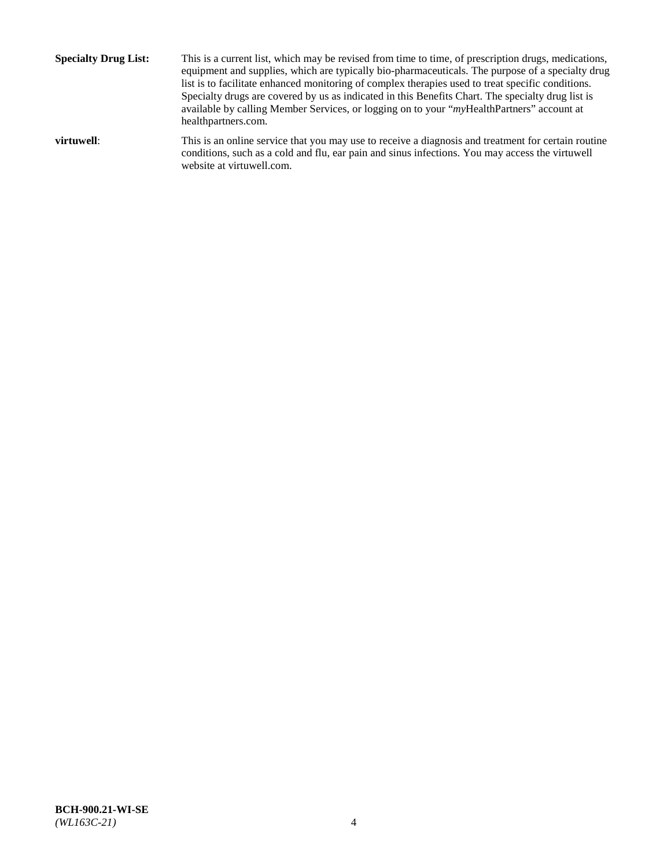**Specialty Drug List:** This is a current list, which may be revised from time to time, of prescription drugs, medications, equipment and supplies, which are typically bio-pharmaceuticals. The purpose of a specialty drug list is to facilitate enhanced monitoring of complex therapies used to treat specific conditions. Specialty drugs are covered by us as indicated in this Benefits Chart. The specialty drug list is available by calling Member Services, or logging on to your "*my*HealthPartners" account at [healthpartners.com.](http://www.healthpartners.com/) **virtuwell:** This is an online service that you may use to receive a diagnosis and treatment for certain routine conditions, such as a cold and flu, ear pain and sinus infections. You may access the virtuwell

website at [virtuwell.com.](http://www.virtuwell.com/)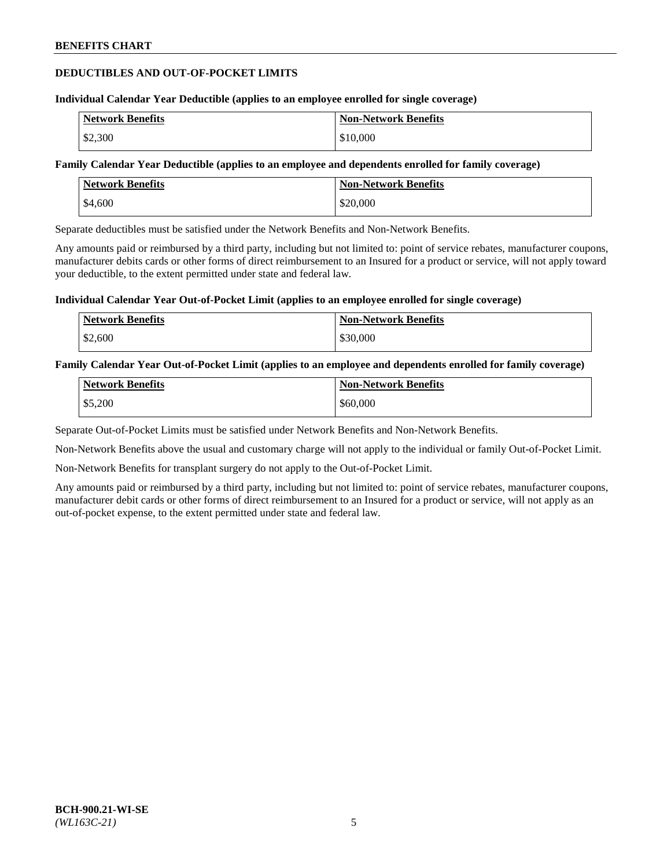### **DEDUCTIBLES AND OUT-OF-POCKET LIMITS**

#### **Individual Calendar Year Deductible (applies to an employee enrolled for single coverage)**

| <b>Network Benefits</b> | <b>Non-Network Benefits</b> |
|-------------------------|-----------------------------|
| \$2,300                 | \$10,000                    |

#### **Family Calendar Year Deductible (applies to an employee and dependents enrolled for family coverage)**

| <b>Network Benefits</b> | <b>Non-Network Benefits</b> |
|-------------------------|-----------------------------|
| \$4,600                 | \$20,000                    |

Separate deductibles must be satisfied under the Network Benefits and Non-Network Benefits.

Any amounts paid or reimbursed by a third party, including but not limited to: point of service rebates, manufacturer coupons, manufacturer debits cards or other forms of direct reimbursement to an Insured for a product or service, will not apply toward your deductible, to the extent permitted under state and federal law.

#### **Individual Calendar Year Out-of-Pocket Limit (applies to an employee enrolled for single coverage)**

| <b>Network Benefits</b> | <b>Non-Network Benefits</b> |
|-------------------------|-----------------------------|
| \$2,600                 | \$30,000                    |

#### **Family Calendar Year Out-of-Pocket Limit (applies to an employee and dependents enrolled for family coverage)**

| <b>Network Benefits</b> | <b>Non-Network Benefits</b> |
|-------------------------|-----------------------------|
| \$5,200                 | \$60,000                    |

Separate Out-of-Pocket Limits must be satisfied under Network Benefits and Non-Network Benefits.

Non-Network Benefits above the usual and customary charge will not apply to the individual or family Out-of-Pocket Limit.

Non-Network Benefits for transplant surgery do not apply to the Out-of-Pocket Limit.

Any amounts paid or reimbursed by a third party, including but not limited to: point of service rebates, manufacturer coupons, manufacturer debit cards or other forms of direct reimbursement to an Insured for a product or service, will not apply as an out-of-pocket expense, to the extent permitted under state and federal law.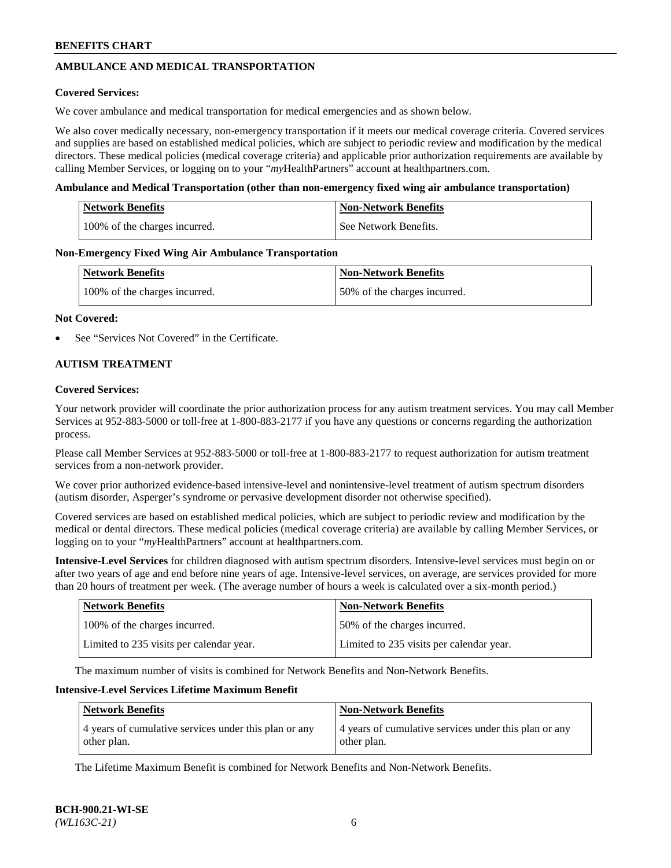# **AMBULANCE AND MEDICAL TRANSPORTATION**

### **Covered Services:**

We cover ambulance and medical transportation for medical emergencies and as shown below.

We also cover medically necessary, non-emergency transportation if it meets our medical coverage criteria. Covered services and supplies are based on established medical policies, which are subject to periodic review and modification by the medical directors. These medical policies (medical coverage criteria) and applicable prior authorization requirements are available by calling Member Services, or logging on to your "*my*HealthPartners" account a[t healthpartners.com.](https://www.healthpartners.com/hp/index.html)

#### **Ambulance and Medical Transportation (other than non-emergency fixed wing air ambulance transportation)**

| <b>Network Benefits</b>       | <b>Non-Network Benefits</b> |
|-------------------------------|-----------------------------|
| 100% of the charges incurred. | See Network Benefits.       |

#### **Non-Emergency Fixed Wing Air Ambulance Transportation**

| <b>Network Benefits</b>       | <b>Non-Network Benefits</b>  |
|-------------------------------|------------------------------|
| 100% of the charges incurred. | 50% of the charges incurred. |

#### **Not Covered:**

See "Services Not Covered" in the Certificate.

### **AUTISM TREATMENT**

#### **Covered Services:**

Your network provider will coordinate the prior authorization process for any autism treatment services. You may call Member Services at 952-883-5000 or toll-free at 1-800-883-2177 if you have any questions or concerns regarding the authorization process.

Please call Member Services at 952-883-5000 or toll-free at 1-800-883-2177 to request authorization for autism treatment services from a non-network provider.

We cover prior authorized evidence-based intensive-level and nonintensive-level treatment of autism spectrum disorders (autism disorder, Asperger's syndrome or pervasive development disorder not otherwise specified).

Covered services are based on established medical policies, which are subject to periodic review and modification by the medical or dental directors. These medical policies (medical coverage criteria) are available by calling Member Services, or logging on to your "*my*HealthPartners" account at [healthpartners.com.](https://www.healthpartners.com/hp/index.html)

**Intensive-Level Services** for children diagnosed with autism spectrum disorders. Intensive-level services must begin on or after two years of age and end before nine years of age. Intensive-level services, on average, are services provided for more than 20 hours of treatment per week. (The average number of hours a week is calculated over a six-month period.)

| <b>Network Benefits</b>                  | <b>Non-Network Benefits</b>              |
|------------------------------------------|------------------------------------------|
| 100% of the charges incurred.            | 50% of the charges incurred.             |
| Limited to 235 visits per calendar year. | Limited to 235 visits per calendar year. |

The maximum number of visits is combined for Network Benefits and Non-Network Benefits.

### **Intensive-Level Services Lifetime Maximum Benefit**

| <b>Network Benefits</b>                                              | <b>Non-Network Benefits</b>                                          |
|----------------------------------------------------------------------|----------------------------------------------------------------------|
| 4 years of cumulative services under this plan or any<br>other plan. | 4 years of cumulative services under this plan or any<br>other plan. |

The Lifetime Maximum Benefit is combined for Network Benefits and Non-Network Benefits.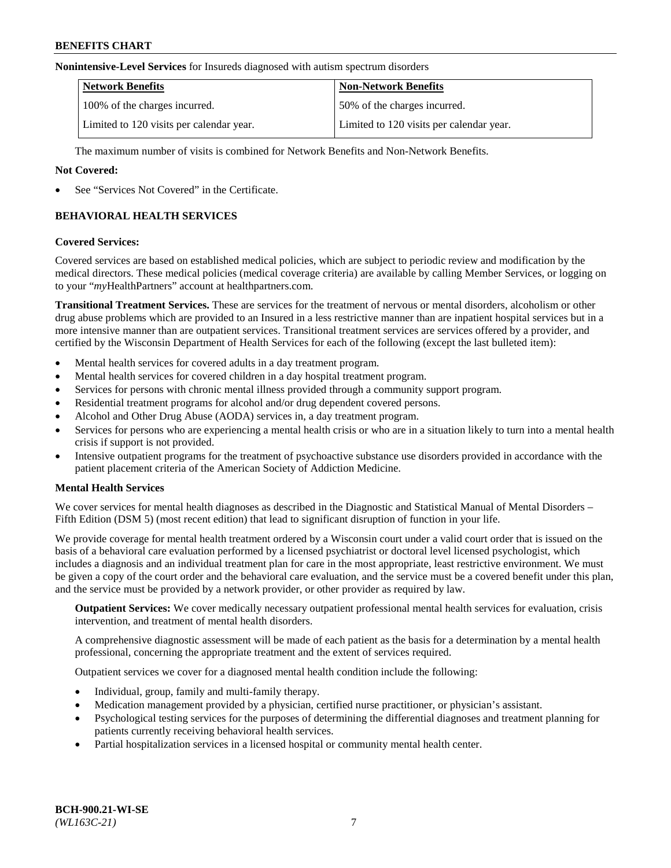#### **Nonintensive-Level Services** for Insureds diagnosed with autism spectrum disorders

| <b>Network Benefits</b>                  | <b>Non-Network Benefits</b>              |
|------------------------------------------|------------------------------------------|
| 100% of the charges incurred.            | 50% of the charges incurred.             |
| Limited to 120 visits per calendar year. | Limited to 120 visits per calendar year. |

The maximum number of visits is combined for Network Benefits and Non-Network Benefits.

### **Not Covered:**

See "Services Not Covered" in the Certificate.

# **BEHAVIORAL HEALTH SERVICES**

#### **Covered Services:**

Covered services are based on established medical policies, which are subject to periodic review and modification by the medical directors. These medical policies (medical coverage criteria) are available by calling Member Services, or logging on to your "*my*HealthPartners" account at [healthpartners.com.](https://www.healthpartners.com/hp/index.html)

**Transitional Treatment Services.** These are services for the treatment of nervous or mental disorders, alcoholism or other drug abuse problems which are provided to an Insured in a less restrictive manner than are inpatient hospital services but in a more intensive manner than are outpatient services. Transitional treatment services are services offered by a provider, and certified by the Wisconsin Department of Health Services for each of the following (except the last bulleted item):

- Mental health services for covered adults in a day treatment program.
- Mental health services for covered children in a day hospital treatment program.
- Services for persons with chronic mental illness provided through a community support program.
- Residential treatment programs for alcohol and/or drug dependent covered persons.
- Alcohol and Other Drug Abuse (AODA) services in, a day treatment program.
- Services for persons who are experiencing a mental health crisis or who are in a situation likely to turn into a mental health crisis if support is not provided.
- Intensive outpatient programs for the treatment of psychoactive substance use disorders provided in accordance with the patient placement criteria of the American Society of Addiction Medicine.

### **Mental Health Services**

We cover services for mental health diagnoses as described in the Diagnostic and Statistical Manual of Mental Disorders – Fifth Edition (DSM 5) (most recent edition) that lead to significant disruption of function in your life.

We provide coverage for mental health treatment ordered by a Wisconsin court under a valid court order that is issued on the basis of a behavioral care evaluation performed by a licensed psychiatrist or doctoral level licensed psychologist, which includes a diagnosis and an individual treatment plan for care in the most appropriate, least restrictive environment. We must be given a copy of the court order and the behavioral care evaluation, and the service must be a covered benefit under this plan, and the service must be provided by a network provider, or other provider as required by law.

**Outpatient Services:** We cover medically necessary outpatient professional mental health services for evaluation, crisis intervention, and treatment of mental health disorders.

A comprehensive diagnostic assessment will be made of each patient as the basis for a determination by a mental health professional, concerning the appropriate treatment and the extent of services required.

Outpatient services we cover for a diagnosed mental health condition include the following:

- Individual, group, family and multi-family therapy.
- Medication management provided by a physician, certified nurse practitioner, or physician's assistant.
- Psychological testing services for the purposes of determining the differential diagnoses and treatment planning for patients currently receiving behavioral health services.
- Partial hospitalization services in a licensed hospital or community mental health center.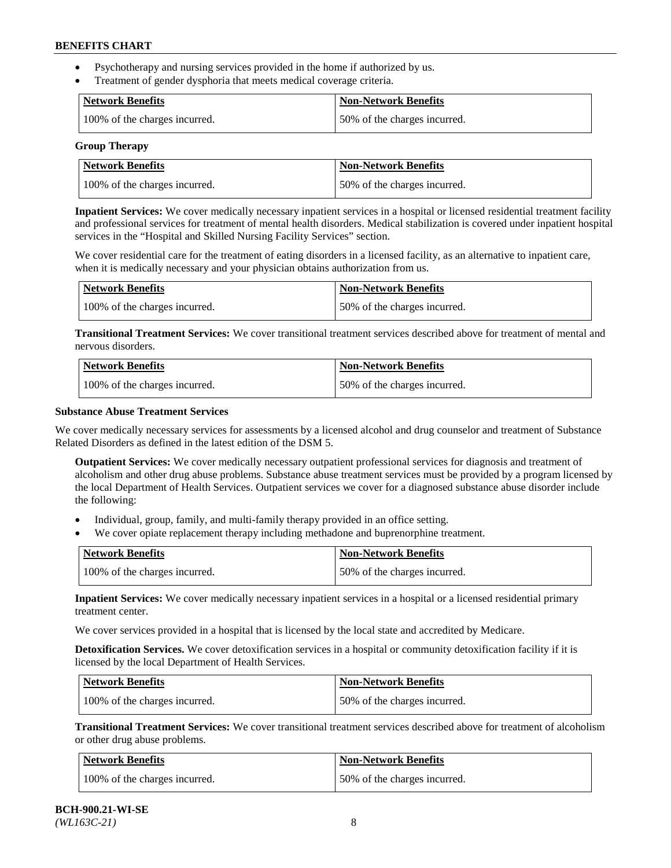- Psychotherapy and nursing services provided in the home if authorized by us.
- Treatment of gender dysphoria that meets medical coverage criteria.

| <b>Network Benefits</b>       | Non-Network Benefits         |
|-------------------------------|------------------------------|
| 100% of the charges incurred. | 50% of the charges incurred. |

#### **Group Therapy**

| Network Benefits              | <b>Non-Network Benefits</b>  |
|-------------------------------|------------------------------|
| 100% of the charges incurred. | 50% of the charges incurred. |

**Inpatient Services:** We cover medically necessary inpatient services in a hospital or licensed residential treatment facility and professional services for treatment of mental health disorders. Medical stabilization is covered under inpatient hospital services in the "Hospital and Skilled Nursing Facility Services" section.

We cover residential care for the treatment of eating disorders in a licensed facility, as an alternative to inpatient care, when it is medically necessary and your physician obtains authorization from us.

| <b>Network Benefits</b>       | <b>Non-Network Benefits</b>  |
|-------------------------------|------------------------------|
| 100% of the charges incurred. | 50% of the charges incurred. |

**Transitional Treatment Services:** We cover transitional treatment services described above for treatment of mental and nervous disorders.

| <b>Network Benefits</b>       | <b>Non-Network Benefits</b>  |
|-------------------------------|------------------------------|
| 100% of the charges incurred. | 50% of the charges incurred. |

#### **Substance Abuse Treatment Services**

We cover medically necessary services for assessments by a licensed alcohol and drug counselor and treatment of Substance Related Disorders as defined in the latest edition of the DSM 5.

**Outpatient Services:** We cover medically necessary outpatient professional services for diagnosis and treatment of alcoholism and other drug abuse problems. Substance abuse treatment services must be provided by a program licensed by the local Department of Health Services. Outpatient services we cover for a diagnosed substance abuse disorder include the following:

- Individual, group, family, and multi-family therapy provided in an office setting.
- We cover opiate replacement therapy including methadone and buprenorphine treatment.

| <b>Network Benefits</b>       | <b>Non-Network Benefits</b>  |
|-------------------------------|------------------------------|
| 100% of the charges incurred. | 50% of the charges incurred. |

**Inpatient Services:** We cover medically necessary inpatient services in a hospital or a licensed residential primary treatment center.

We cover services provided in a hospital that is licensed by the local state and accredited by Medicare.

**Detoxification Services.** We cover detoxification services in a hospital or community detoxification facility if it is licensed by the local Department of Health Services.

| Network Benefits              | <b>Non-Network Benefits</b>  |
|-------------------------------|------------------------------|
| 100% of the charges incurred. | 50% of the charges incurred. |

**Transitional Treatment Services:** We cover transitional treatment services described above for treatment of alcoholism or other drug abuse problems.

| Network Benefits              | <b>Non-Network Benefits</b>  |
|-------------------------------|------------------------------|
| 100% of the charges incurred. | 50% of the charges incurred. |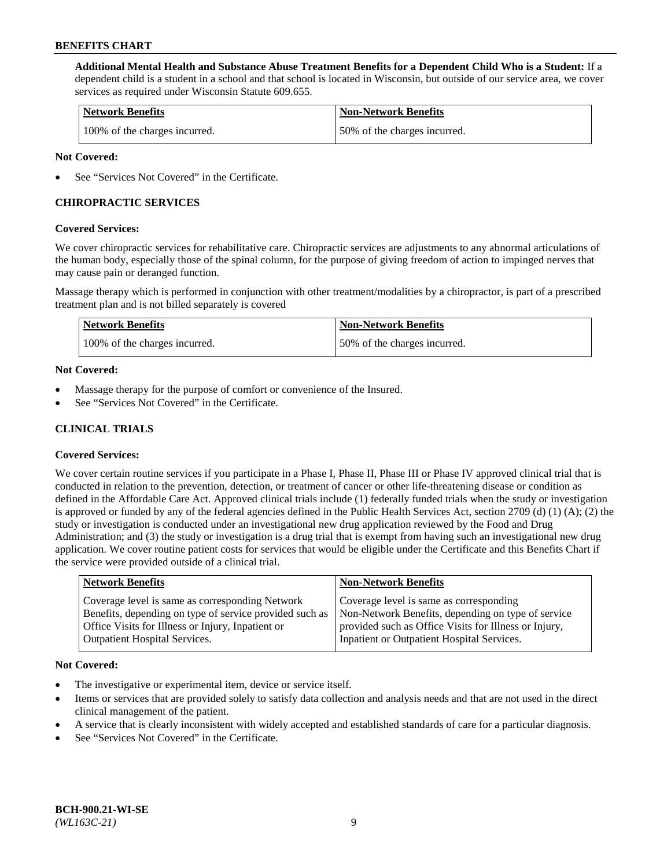**Additional Mental Health and Substance Abuse Treatment Benefits for a Dependent Child Who is a Student:** If a dependent child is a student in a school and that school is located in Wisconsin, but outside of our service area, we cover services as required under Wisconsin Statute 609.655.

| <b>Network Benefits</b>       | <b>Non-Network Benefits</b>  |
|-------------------------------|------------------------------|
| 100% of the charges incurred. | 50% of the charges incurred. |

### **Not Covered:**

See "Services Not Covered" in the Certificate.

### **CHIROPRACTIC SERVICES**

#### **Covered Services:**

We cover chiropractic services for rehabilitative care. Chiropractic services are adjustments to any abnormal articulations of the human body, especially those of the spinal column, for the purpose of giving freedom of action to impinged nerves that may cause pain or deranged function.

Massage therapy which is performed in conjunction with other treatment/modalities by a chiropractor, is part of a prescribed treatment plan and is not billed separately is covered

| <b>Network Benefits</b>       | <b>Non-Network Benefits</b>  |
|-------------------------------|------------------------------|
| 100% of the charges incurred. | 50% of the charges incurred. |

#### **Not Covered:**

- Massage therapy for the purpose of comfort or convenience of the Insured.
- See "Services Not Covered" in the Certificate.

# **CLINICAL TRIALS**

### **Covered Services:**

We cover certain routine services if you participate in a Phase I, Phase II, Phase III or Phase IV approved clinical trial that is conducted in relation to the prevention, detection, or treatment of cancer or other life-threatening disease or condition as defined in the Affordable Care Act. Approved clinical trials include (1) federally funded trials when the study or investigation is approved or funded by any of the federal agencies defined in the Public Health Services Act, section 2709 (d) (1) (A); (2) the study or investigation is conducted under an investigational new drug application reviewed by the Food and Drug Administration; and (3) the study or investigation is a drug trial that is exempt from having such an investigational new drug application. We cover routine patient costs for services that would be eligible under the Certificate and this Benefits Chart if the service were provided outside of a clinical trial.

| Coverage level is same as corresponding<br>Coverage level is same as corresponding Network<br>Non-Network Benefits, depending on type of service<br>Benefits, depending on type of service provided such as | <b>Network Benefits</b> | <b>Non-Network Benefits</b> |
|-------------------------------------------------------------------------------------------------------------------------------------------------------------------------------------------------------------|-------------------------|-----------------------------|
| Office Visits for Illness or Injury, Inpatient or<br>provided such as Office Visits for Illness or Injury,<br>Inpatient or Outpatient Hospital Services.<br><b>Outpatient Hospital Services.</b>            |                         |                             |

#### **Not Covered:**

- The investigative or experimental item, device or service itself.
- Items or services that are provided solely to satisfy data collection and analysis needs and that are not used in the direct clinical management of the patient.
- A service that is clearly inconsistent with widely accepted and established standards of care for a particular diagnosis.
- See "Services Not Covered" in the Certificate.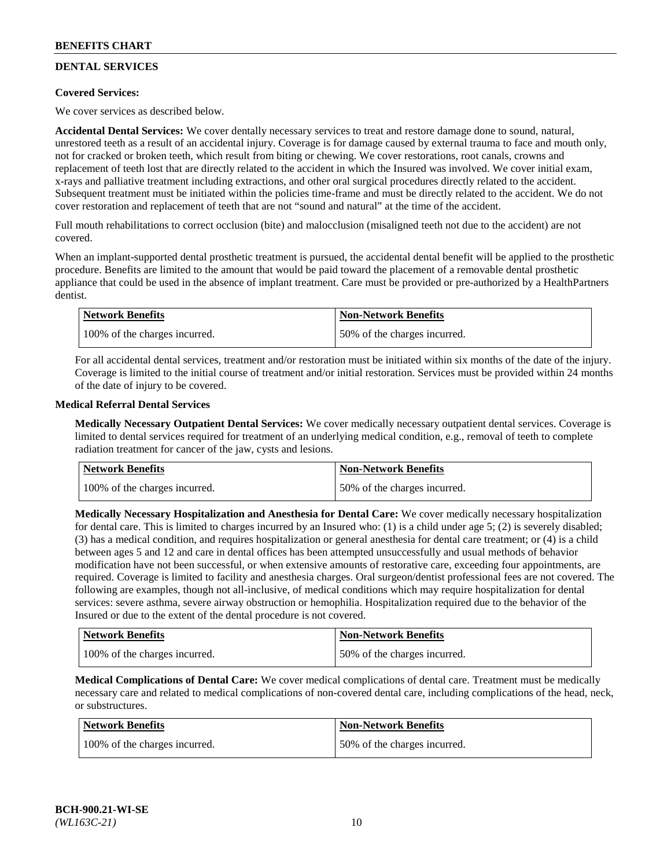# **DENTAL SERVICES**

### **Covered Services:**

We cover services as described below.

**Accidental Dental Services:** We cover dentally necessary services to treat and restore damage done to sound, natural, unrestored teeth as a result of an accidental injury. Coverage is for damage caused by external trauma to face and mouth only, not for cracked or broken teeth, which result from biting or chewing. We cover restorations, root canals, crowns and replacement of teeth lost that are directly related to the accident in which the Insured was involved. We cover initial exam, x-rays and palliative treatment including extractions, and other oral surgical procedures directly related to the accident. Subsequent treatment must be initiated within the policies time-frame and must be directly related to the accident. We do not cover restoration and replacement of teeth that are not "sound and natural" at the time of the accident.

Full mouth rehabilitations to correct occlusion (bite) and malocclusion (misaligned teeth not due to the accident) are not covered.

When an implant-supported dental prosthetic treatment is pursued, the accidental dental benefit will be applied to the prosthetic procedure. Benefits are limited to the amount that would be paid toward the placement of a removable dental prosthetic appliance that could be used in the absence of implant treatment. Care must be provided or pre-authorized by a HealthPartners dentist.

| <b>Network Benefits</b>       | <b>Non-Network Benefits</b>  |
|-------------------------------|------------------------------|
| 100% of the charges incurred. | 50% of the charges incurred. |

For all accidental dental services, treatment and/or restoration must be initiated within six months of the date of the injury. Coverage is limited to the initial course of treatment and/or initial restoration. Services must be provided within 24 months of the date of injury to be covered.

#### **Medical Referral Dental Services**

**Medically Necessary Outpatient Dental Services:** We cover medically necessary outpatient dental services. Coverage is limited to dental services required for treatment of an underlying medical condition, e.g., removal of teeth to complete radiation treatment for cancer of the jaw, cysts and lesions.

| <b>Network Benefits</b>       | <b>Non-Network Benefits</b>  |
|-------------------------------|------------------------------|
| 100% of the charges incurred. | 50% of the charges incurred. |

**Medically Necessary Hospitalization and Anesthesia for Dental Care:** We cover medically necessary hospitalization for dental care. This is limited to charges incurred by an Insured who: (1) is a child under age  $5$ ; (2) is severely disabled; (3) has a medical condition, and requires hospitalization or general anesthesia for dental care treatment; or (4) is a child between ages 5 and 12 and care in dental offices has been attempted unsuccessfully and usual methods of behavior modification have not been successful, or when extensive amounts of restorative care, exceeding four appointments, are required. Coverage is limited to facility and anesthesia charges. Oral surgeon/dentist professional fees are not covered. The following are examples, though not all-inclusive, of medical conditions which may require hospitalization for dental services: severe asthma, severe airway obstruction or hemophilia. Hospitalization required due to the behavior of the Insured or due to the extent of the dental procedure is not covered.

| Network Benefits              | <b>Non-Network Benefits</b>  |
|-------------------------------|------------------------------|
| 100% of the charges incurred. | 50% of the charges incurred. |

**Medical Complications of Dental Care:** We cover medical complications of dental care. Treatment must be medically necessary care and related to medical complications of non-covered dental care, including complications of the head, neck, or substructures.

| Network Benefits              | Non-Network Benefits         |
|-------------------------------|------------------------------|
| 100% of the charges incurred. | 50% of the charges incurred. |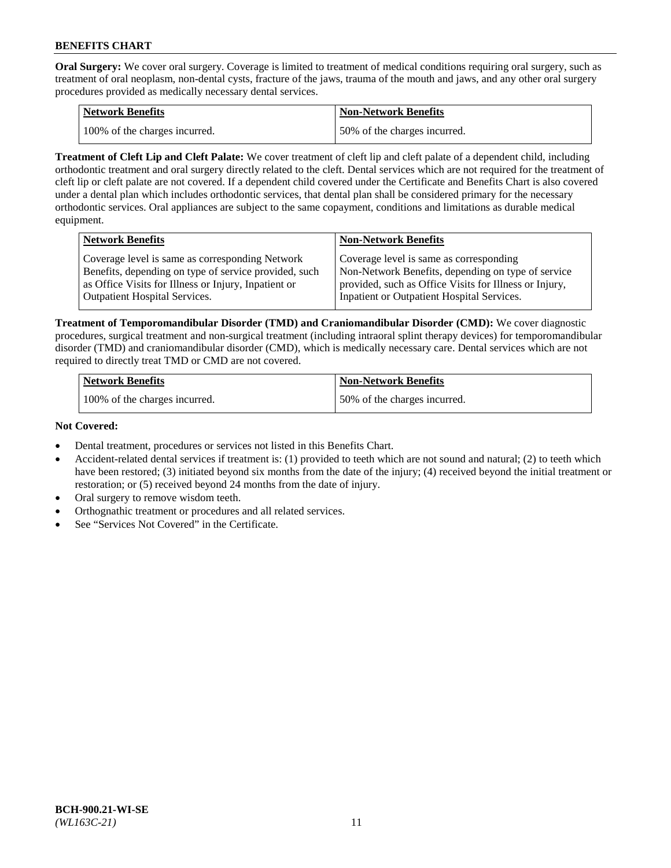**Oral Surgery:** We cover oral surgery. Coverage is limited to treatment of medical conditions requiring oral surgery, such as treatment of oral neoplasm, non-dental cysts, fracture of the jaws, trauma of the mouth and jaws, and any other oral surgery procedures provided as medically necessary dental services.

| <b>Network Benefits</b>       | Non-Network Benefits         |
|-------------------------------|------------------------------|
| 100% of the charges incurred. | 50% of the charges incurred. |

**Treatment of Cleft Lip and Cleft Palate:** We cover treatment of cleft lip and cleft palate of a dependent child, including orthodontic treatment and oral surgery directly related to the cleft. Dental services which are not required for the treatment of cleft lip or cleft palate are not covered. If a dependent child covered under the Certificate and Benefits Chart is also covered under a dental plan which includes orthodontic services, that dental plan shall be considered primary for the necessary orthodontic services. Oral appliances are subject to the same copayment, conditions and limitations as durable medical equipment.

| <b>Network Benefits</b>                               | <b>Non-Network Benefits</b>                            |
|-------------------------------------------------------|--------------------------------------------------------|
| Coverage level is same as corresponding Network       | Coverage level is same as corresponding                |
| Benefits, depending on type of service provided, such | Non-Network Benefits, depending on type of service     |
| as Office Visits for Illness or Injury, Inpatient or  | provided, such as Office Visits for Illness or Injury, |
| Outpatient Hospital Services.                         | Inpatient or Outpatient Hospital Services.             |

**Treatment of Temporomandibular Disorder (TMD) and Craniomandibular Disorder (CMD):** We cover diagnostic procedures, surgical treatment and non-surgical treatment (including intraoral splint therapy devices) for temporomandibular disorder (TMD) and craniomandibular disorder (CMD), which is medically necessary care. Dental services which are not required to directly treat TMD or CMD are not covered.

| <b>Network Benefits</b>       | <b>Non-Network Benefits</b>  |
|-------------------------------|------------------------------|
| 100% of the charges incurred. | 50% of the charges incurred. |

#### **Not Covered:**

- Dental treatment, procedures or services not listed in this Benefits Chart.
- Accident-related dental services if treatment is: (1) provided to teeth which are not sound and natural; (2) to teeth which have been restored; (3) initiated beyond six months from the date of the injury; (4) received beyond the initial treatment or restoration; or (5) received beyond 24 months from the date of injury.
- Oral surgery to remove wisdom teeth.
- Orthognathic treatment or procedures and all related services.
- See "Services Not Covered" in the Certificate.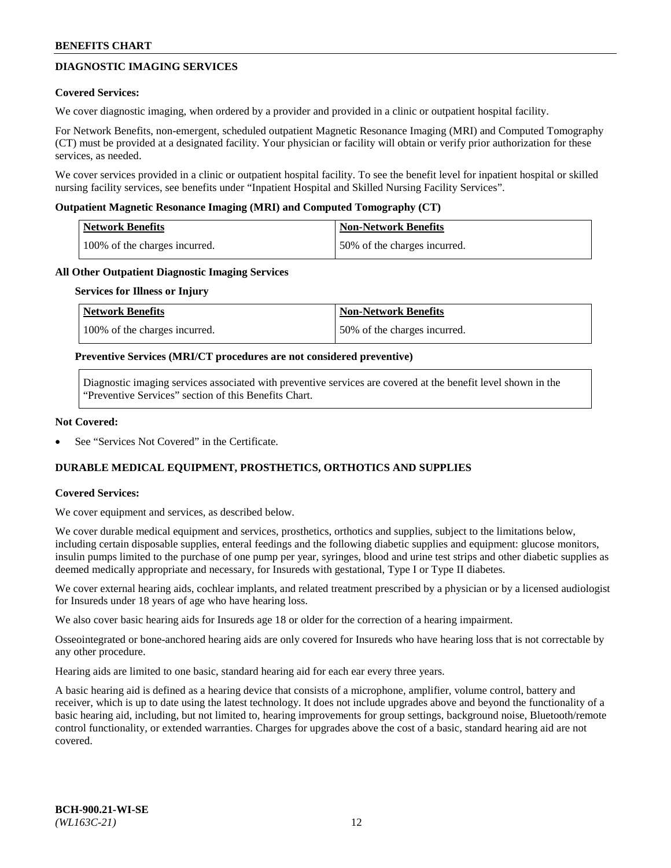# **DIAGNOSTIC IMAGING SERVICES**

#### **Covered Services:**

We cover diagnostic imaging, when ordered by a provider and provided in a clinic or outpatient hospital facility.

For Network Benefits, non-emergent, scheduled outpatient Magnetic Resonance Imaging (MRI) and Computed Tomography (CT) must be provided at a designated facility. Your physician or facility will obtain or verify prior authorization for these services, as needed.

We cover services provided in a clinic or outpatient hospital facility. To see the benefit level for inpatient hospital or skilled nursing facility services, see benefits under "Inpatient Hospital and Skilled Nursing Facility Services".

#### **Outpatient Magnetic Resonance Imaging (MRI) and Computed Tomography (CT)**

| <b>Network Benefits</b>       | <b>Non-Network Benefits</b>  |
|-------------------------------|------------------------------|
| 100% of the charges incurred. | 50% of the charges incurred. |

#### **All Other Outpatient Diagnostic Imaging Services**

#### **Services for Illness or Injury**

| Network Benefits              | <b>Non-Network Benefits</b>  |
|-------------------------------|------------------------------|
| 100% of the charges incurred. | 50% of the charges incurred. |

#### **Preventive Services (MRI/CT procedures are not considered preventive)**

Diagnostic imaging services associated with preventive services are covered at the benefit level shown in the "Preventive Services" section of this Benefits Chart.

#### **Not Covered:**

See "Services Not Covered" in the Certificate.

# **DURABLE MEDICAL EQUIPMENT, PROSTHETICS, ORTHOTICS AND SUPPLIES**

#### **Covered Services:**

We cover equipment and services, as described below.

We cover durable medical equipment and services, prosthetics, orthotics and supplies, subject to the limitations below, including certain disposable supplies, enteral feedings and the following diabetic supplies and equipment: glucose monitors, insulin pumps limited to the purchase of one pump per year, syringes, blood and urine test strips and other diabetic supplies as deemed medically appropriate and necessary, for Insureds with gestational, Type I or Type II diabetes.

We cover external hearing aids, cochlear implants, and related treatment prescribed by a physician or by a licensed audiologist for Insureds under 18 years of age who have hearing loss.

We also cover basic hearing aids for Insureds age 18 or older for the correction of a hearing impairment.

Osseointegrated or bone-anchored hearing aids are only covered for Insureds who have hearing loss that is not correctable by any other procedure.

Hearing aids are limited to one basic, standard hearing aid for each ear every three years.

A basic hearing aid is defined as a hearing device that consists of a microphone, amplifier, volume control, battery and receiver, which is up to date using the latest technology. It does not include upgrades above and beyond the functionality of a basic hearing aid, including, but not limited to, hearing improvements for group settings, background noise, Bluetooth/remote control functionality, or extended warranties. Charges for upgrades above the cost of a basic, standard hearing aid are not covered.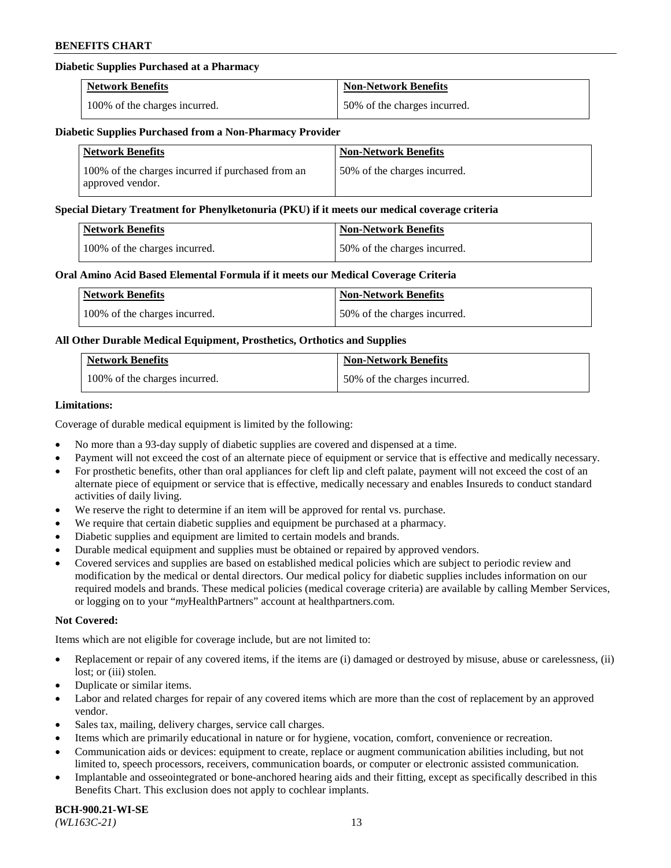### **Diabetic Supplies Purchased at a Pharmacy**

| <b>Network Benefits</b>       | <b>Non-Network Benefits</b>  |
|-------------------------------|------------------------------|
| 100% of the charges incurred. | 50% of the charges incurred. |

#### **Diabetic Supplies Purchased from a Non-Pharmacy Provider**

| <b>Network Benefits</b>                                               | <b>Non-Network Benefits</b>  |
|-----------------------------------------------------------------------|------------------------------|
| 100% of the charges incurred if purchased from an<br>approved vendor. | 50% of the charges incurred. |

#### **Special Dietary Treatment for Phenylketonuria (PKU) if it meets our medical coverage criteria**

| Network Benefits              | <b>Non-Network Benefits</b>  |
|-------------------------------|------------------------------|
| 100% of the charges incurred. | 50% of the charges incurred. |

#### **Oral Amino Acid Based Elemental Formula if it meets our Medical Coverage Criteria**

| <b>Network Benefits</b>       | <b>Non-Network Benefits</b>  |
|-------------------------------|------------------------------|
| 100% of the charges incurred. | 50% of the charges incurred. |

### **All Other Durable Medical Equipment, Prosthetics, Orthotics and Supplies**

| <b>Network Benefits</b>       | <b>Non-Network Benefits</b>  |
|-------------------------------|------------------------------|
| 100% of the charges incurred. | 50% of the charges incurred. |

#### **Limitations:**

Coverage of durable medical equipment is limited by the following:

- No more than a 93-day supply of diabetic supplies are covered and dispensed at a time.
- Payment will not exceed the cost of an alternate piece of equipment or service that is effective and medically necessary.
- For prosthetic benefits, other than oral appliances for cleft lip and cleft palate, payment will not exceed the cost of an alternate piece of equipment or service that is effective, medically necessary and enables Insureds to conduct standard activities of daily living.
- We reserve the right to determine if an item will be approved for rental vs. purchase.
- We require that certain diabetic supplies and equipment be purchased at a pharmacy.
- Diabetic supplies and equipment are limited to certain models and brands.
- Durable medical equipment and supplies must be obtained or repaired by approved vendors.
- Covered services and supplies are based on established medical policies which are subject to periodic review and modification by the medical or dental directors. Our medical policy for diabetic supplies includes information on our required models and brands. These medical policies (medical coverage criteria) are available by calling Member Services, or logging on to your "*my*HealthPartners" account a[t healthpartners.com.](https://www.healthpartners.com/hp/index.html)

### **Not Covered:**

Items which are not eligible for coverage include, but are not limited to:

- Replacement or repair of any covered items, if the items are (i) damaged or destroyed by misuse, abuse or carelessness, (ii) lost; or (iii) stolen.
- Duplicate or similar items.
- Labor and related charges for repair of any covered items which are more than the cost of replacement by an approved vendor.
- Sales tax, mailing, delivery charges, service call charges.
- Items which are primarily educational in nature or for hygiene, vocation, comfort, convenience or recreation.
- Communication aids or devices: equipment to create, replace or augment communication abilities including, but not limited to, speech processors, receivers, communication boards, or computer or electronic assisted communication.
- Implantable and osseointegrated or bone-anchored hearing aids and their fitting, except as specifically described in this Benefits Chart. This exclusion does not apply to cochlear implants.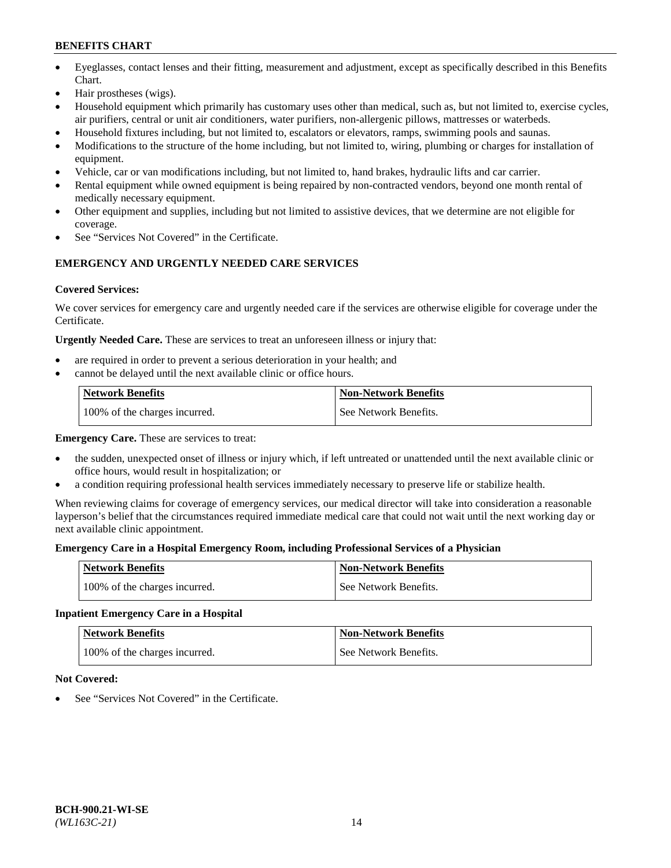- Eyeglasses, contact lenses and their fitting, measurement and adjustment, except as specifically described in this Benefits Chart.
- Hair prostheses (wigs).
- Household equipment which primarily has customary uses other than medical, such as, but not limited to, exercise cycles, air purifiers, central or unit air conditioners, water purifiers, non-allergenic pillows, mattresses or waterbeds.
- Household fixtures including, but not limited to, escalators or elevators, ramps, swimming pools and saunas.
- Modifications to the structure of the home including, but not limited to, wiring, plumbing or charges for installation of equipment.
- Vehicle, car or van modifications including, but not limited to, hand brakes, hydraulic lifts and car carrier.
- Rental equipment while owned equipment is being repaired by non-contracted vendors, beyond one month rental of medically necessary equipment.
- Other equipment and supplies, including but not limited to assistive devices, that we determine are not eligible for coverage.
- See "Services Not Covered" in the Certificate.

# **EMERGENCY AND URGENTLY NEEDED CARE SERVICES**

### **Covered Services:**

We cover services for emergency care and urgently needed care if the services are otherwise eligible for coverage under the Certificate.

**Urgently Needed Care.** These are services to treat an unforeseen illness or injury that:

- are required in order to prevent a serious deterioration in your health; and
- cannot be delayed until the next available clinic or office hours.

| <b>Network Benefits</b>       | <b>Non-Network Benefits</b> |
|-------------------------------|-----------------------------|
| 100% of the charges incurred. | See Network Benefits.       |

**Emergency Care.** These are services to treat:

- the sudden, unexpected onset of illness or injury which, if left untreated or unattended until the next available clinic or office hours, would result in hospitalization; or
- a condition requiring professional health services immediately necessary to preserve life or stabilize health.

When reviewing claims for coverage of emergency services, our medical director will take into consideration a reasonable layperson's belief that the circumstances required immediate medical care that could not wait until the next working day or next available clinic appointment.

### **Emergency Care in a Hospital Emergency Room, including Professional Services of a Physician**

| <b>Network Benefits</b>       | <b>Non-Network Benefits</b> |
|-------------------------------|-----------------------------|
| 100% of the charges incurred. | See Network Benefits.       |

### **Inpatient Emergency Care in a Hospital**

| <b>Network Benefits</b>       | <b>Non-Network Benefits</b> |
|-------------------------------|-----------------------------|
| 100% of the charges incurred. | See Network Benefits.       |

### **Not Covered:**

See "Services Not Covered" in the Certificate.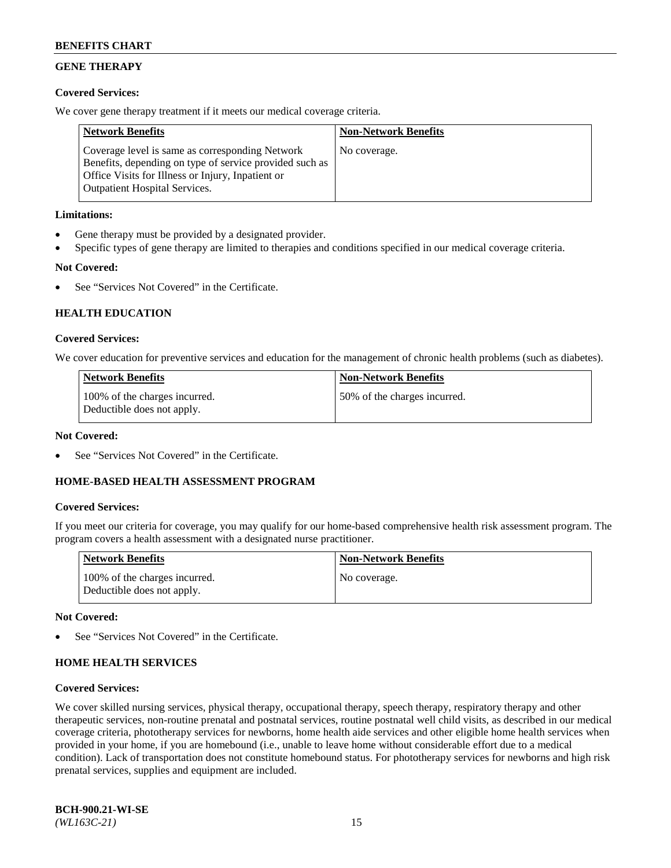# **GENE THERAPY**

### **Covered Services:**

We cover gene therapy treatment if it meets our medical coverage criteria.

| <b>Network Benefits</b>                                                                                                                                                                                 | <b>Non-Network Benefits</b> |
|---------------------------------------------------------------------------------------------------------------------------------------------------------------------------------------------------------|-----------------------------|
| Coverage level is same as corresponding Network<br>Benefits, depending on type of service provided such as<br>Office Visits for Illness or Injury, Inpatient or<br><b>Outpatient Hospital Services.</b> | No coverage.                |

### **Limitations:**

- Gene therapy must be provided by a designated provider.
- Specific types of gene therapy are limited to therapies and conditions specified in our medical coverage criteria.

# **Not Covered:**

See "Services Not Covered" in the Certificate.

### **HEALTH EDUCATION**

#### **Covered Services:**

We cover education for preventive services and education for the management of chronic health problems (such as diabetes).

| <b>Network Benefits</b>                                     | <b>Non-Network Benefits</b>  |
|-------------------------------------------------------------|------------------------------|
| 100% of the charges incurred.<br>Deductible does not apply. | 50% of the charges incurred. |

#### **Not Covered:**

See "Services Not Covered" in the Certificate.

### **HOME-BASED HEALTH ASSESSMENT PROGRAM**

#### **Covered Services:**

If you meet our criteria for coverage, you may qualify for our home-based comprehensive health risk assessment program. The program covers a health assessment with a designated nurse practitioner.

| Network Benefits                                            | <b>Non-Network Benefits</b> |
|-------------------------------------------------------------|-----------------------------|
| 100% of the charges incurred.<br>Deductible does not apply. | No coverage.                |

#### **Not Covered:**

See "Services Not Covered" in the Certificate.

### **HOME HEALTH SERVICES**

#### **Covered Services:**

We cover skilled nursing services, physical therapy, occupational therapy, speech therapy, respiratory therapy and other therapeutic services, non-routine prenatal and postnatal services, routine postnatal well child visits, as described in our medical coverage criteria, phototherapy services for newborns, home health aide services and other eligible home health services when provided in your home, if you are homebound (i.e., unable to leave home without considerable effort due to a medical condition). Lack of transportation does not constitute homebound status. For phototherapy services for newborns and high risk prenatal services, supplies and equipment are included.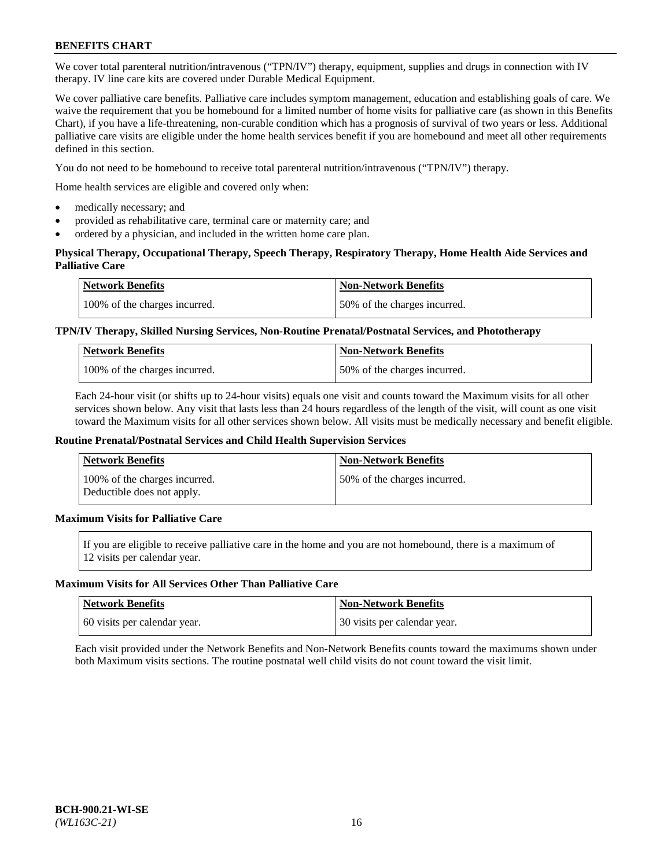We cover total parenteral nutrition/intravenous ("TPN/IV") therapy, equipment, supplies and drugs in connection with IV therapy. IV line care kits are covered under Durable Medical Equipment.

We cover palliative care benefits. Palliative care includes symptom management, education and establishing goals of care. We waive the requirement that you be homebound for a limited number of home visits for palliative care (as shown in this Benefits Chart), if you have a life-threatening, non-curable condition which has a prognosis of survival of two years or less. Additional palliative care visits are eligible under the home health services benefit if you are homebound and meet all other requirements defined in this section.

You do not need to be homebound to receive total parenteral nutrition/intravenous ("TPN/IV") therapy.

Home health services are eligible and covered only when:

- medically necessary; and
- provided as rehabilitative care, terminal care or maternity care; and
- ordered by a physician, and included in the written home care plan.

### **Physical Therapy, Occupational Therapy, Speech Therapy, Respiratory Therapy, Home Health Aide Services and Palliative Care**

| <b>Network Benefits</b>       | <b>Non-Network Benefits</b>  |
|-------------------------------|------------------------------|
| 100% of the charges incurred. | 50% of the charges incurred. |

### **TPN/IV Therapy, Skilled Nursing Services, Non-Routine Prenatal/Postnatal Services, and Phototherapy**

| <b>Network Benefits</b>       | <b>Non-Network Benefits</b>  |
|-------------------------------|------------------------------|
| 100% of the charges incurred. | 50% of the charges incurred. |

Each 24-hour visit (or shifts up to 24-hour visits) equals one visit and counts toward the Maximum visits for all other services shown below. Any visit that lasts less than 24 hours regardless of the length of the visit, will count as one visit toward the Maximum visits for all other services shown below. All visits must be medically necessary and benefit eligible.

#### **Routine Prenatal/Postnatal Services and Child Health Supervision Services**

| Network Benefits                                            | <b>Non-Network Benefits</b>  |
|-------------------------------------------------------------|------------------------------|
| 100% of the charges incurred.<br>Deductible does not apply. | 50% of the charges incurred. |

# **Maximum Visits for Palliative Care**

If you are eligible to receive palliative care in the home and you are not homebound, there is a maximum of 12 visits per calendar year.

#### **Maximum Visits for All Services Other Than Palliative Care**

| Network Benefits             | <b>Non-Network Benefits</b>  |
|------------------------------|------------------------------|
| 60 visits per calendar year. | 30 visits per calendar year. |

Each visit provided under the Network Benefits and Non-Network Benefits counts toward the maximums shown under both Maximum visits sections. The routine postnatal well child visits do not count toward the visit limit.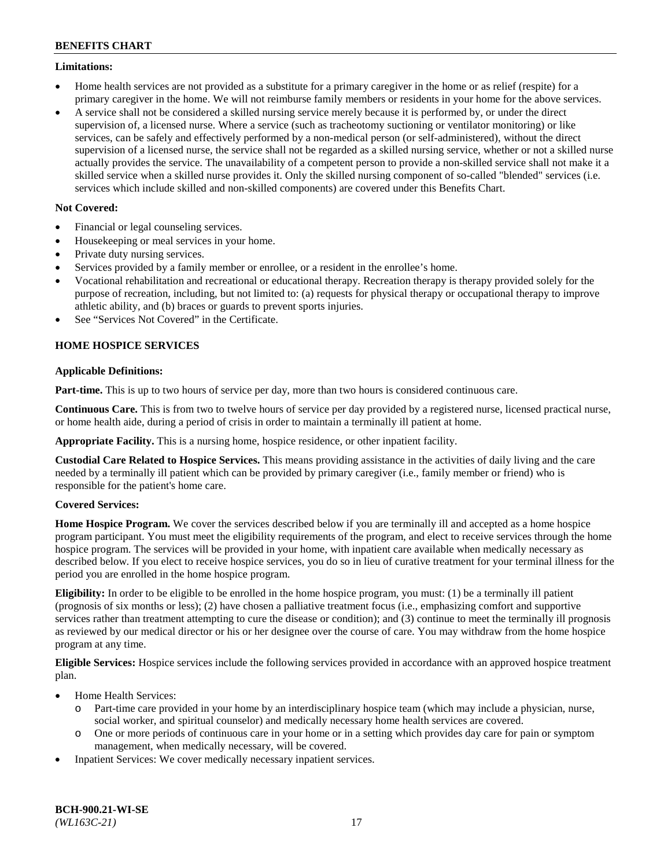### **Limitations:**

- Home health services are not provided as a substitute for a primary caregiver in the home or as relief (respite) for a primary caregiver in the home. We will not reimburse family members or residents in your home for the above services.
- A service shall not be considered a skilled nursing service merely because it is performed by, or under the direct supervision of, a licensed nurse. Where a service (such as tracheotomy suctioning or ventilator monitoring) or like services, can be safely and effectively performed by a non-medical person (or self-administered), without the direct supervision of a licensed nurse, the service shall not be regarded as a skilled nursing service, whether or not a skilled nurse actually provides the service. The unavailability of a competent person to provide a non-skilled service shall not make it a skilled service when a skilled nurse provides it. Only the skilled nursing component of so-called "blended" services (i.e. services which include skilled and non-skilled components) are covered under this Benefits Chart.

### **Not Covered:**

- Financial or legal counseling services.
- Housekeeping or meal services in your home.
- Private duty nursing services.
- Services provided by a family member or enrollee, or a resident in the enrollee's home.
- Vocational rehabilitation and recreational or educational therapy. Recreation therapy is therapy provided solely for the purpose of recreation, including, but not limited to: (a) requests for physical therapy or occupational therapy to improve athletic ability, and (b) braces or guards to prevent sports injuries.
- See "Services Not Covered" in the Certificate.

# **HOME HOSPICE SERVICES**

### **Applicable Definitions:**

**Part-time.** This is up to two hours of service per day, more than two hours is considered continuous care.

**Continuous Care.** This is from two to twelve hours of service per day provided by a registered nurse, licensed practical nurse, or home health aide, during a period of crisis in order to maintain a terminally ill patient at home.

**Appropriate Facility.** This is a nursing home, hospice residence, or other inpatient facility.

**Custodial Care Related to Hospice Services.** This means providing assistance in the activities of daily living and the care needed by a terminally ill patient which can be provided by primary caregiver (i.e., family member or friend) who is responsible for the patient's home care.

### **Covered Services:**

**Home Hospice Program.** We cover the services described below if you are terminally ill and accepted as a home hospice program participant. You must meet the eligibility requirements of the program, and elect to receive services through the home hospice program. The services will be provided in your home, with inpatient care available when medically necessary as described below. If you elect to receive hospice services, you do so in lieu of curative treatment for your terminal illness for the period you are enrolled in the home hospice program.

**Eligibility:** In order to be eligible to be enrolled in the home hospice program, you must: (1) be a terminally ill patient (prognosis of six months or less); (2) have chosen a palliative treatment focus (i.e., emphasizing comfort and supportive services rather than treatment attempting to cure the disease or condition); and (3) continue to meet the terminally ill prognosis as reviewed by our medical director or his or her designee over the course of care. You may withdraw from the home hospice program at any time.

**Eligible Services:** Hospice services include the following services provided in accordance with an approved hospice treatment plan.

- Home Health Services:
	- o Part-time care provided in your home by an interdisciplinary hospice team (which may include a physician, nurse, social worker, and spiritual counselor) and medically necessary home health services are covered.
	- o One or more periods of continuous care in your home or in a setting which provides day care for pain or symptom management, when medically necessary, will be covered.
- Inpatient Services: We cover medically necessary inpatient services.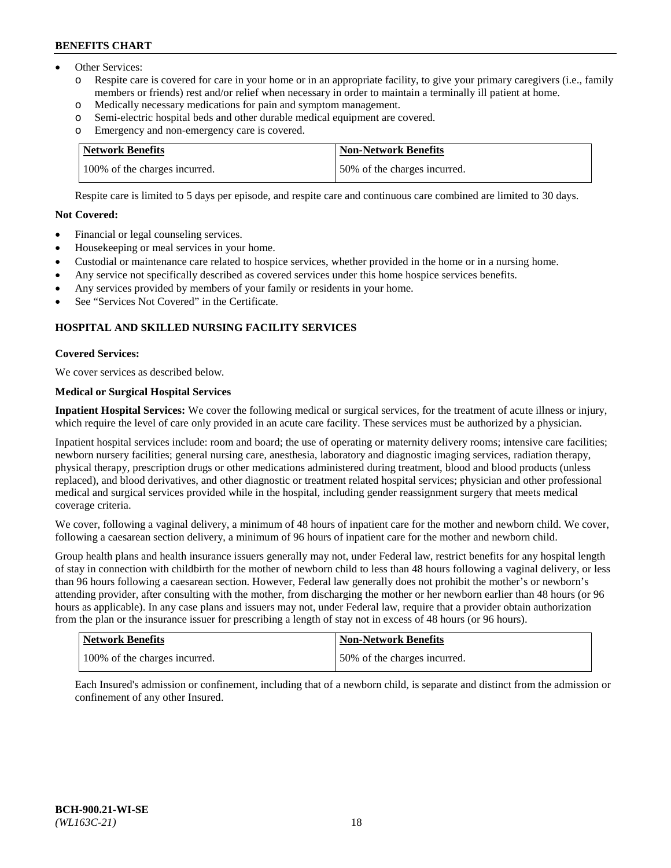- Other Services:
	- Respite care is covered for care in your home or in an appropriate facility, to give your primary caregivers (i.e., family members or friends) rest and/or relief when necessary in order to maintain a terminally ill patient at home.
	- o Medically necessary medications for pain and symptom management.
	- o Semi-electric hospital beds and other durable medical equipment are covered.
	- Emergency and non-emergency care is covered.

| Network Benefits              | <b>Non-Network Benefits</b>  |
|-------------------------------|------------------------------|
| 100% of the charges incurred. | 50% of the charges incurred. |

Respite care is limited to 5 days per episode, and respite care and continuous care combined are limited to 30 days.

# **Not Covered:**

- Financial or legal counseling services.
- Housekeeping or meal services in your home.
- Custodial or maintenance care related to hospice services, whether provided in the home or in a nursing home.
- Any service not specifically described as covered services under this home hospice services benefits.
- Any services provided by members of your family or residents in your home.
- See "Services Not Covered" in the Certificate.

# **HOSPITAL AND SKILLED NURSING FACILITY SERVICES**

#### **Covered Services:**

We cover services as described below.

# **Medical or Surgical Hospital Services**

**Inpatient Hospital Services:** We cover the following medical or surgical services, for the treatment of acute illness or injury, which require the level of care only provided in an acute care facility. These services must be authorized by a physician.

Inpatient hospital services include: room and board; the use of operating or maternity delivery rooms; intensive care facilities; newborn nursery facilities; general nursing care, anesthesia, laboratory and diagnostic imaging services, radiation therapy, physical therapy, prescription drugs or other medications administered during treatment, blood and blood products (unless replaced), and blood derivatives, and other diagnostic or treatment related hospital services; physician and other professional medical and surgical services provided while in the hospital, including gender reassignment surgery that meets medical coverage criteria.

We cover, following a vaginal delivery, a minimum of 48 hours of inpatient care for the mother and newborn child. We cover, following a caesarean section delivery, a minimum of 96 hours of inpatient care for the mother and newborn child.

Group health plans and health insurance issuers generally may not, under Federal law, restrict benefits for any hospital length of stay in connection with childbirth for the mother of newborn child to less than 48 hours following a vaginal delivery, or less than 96 hours following a caesarean section. However, Federal law generally does not prohibit the mother's or newborn's attending provider, after consulting with the mother, from discharging the mother or her newborn earlier than 48 hours (or 96 hours as applicable). In any case plans and issuers may not, under Federal law, require that a provider obtain authorization from the plan or the insurance issuer for prescribing a length of stay not in excess of 48 hours (or 96 hours).

| Network Benefits              | Non-Network Benefits         |
|-------------------------------|------------------------------|
| 100% of the charges incurred. | 50% of the charges incurred. |

Each Insured's admission or confinement, including that of a newborn child, is separate and distinct from the admission or confinement of any other Insured.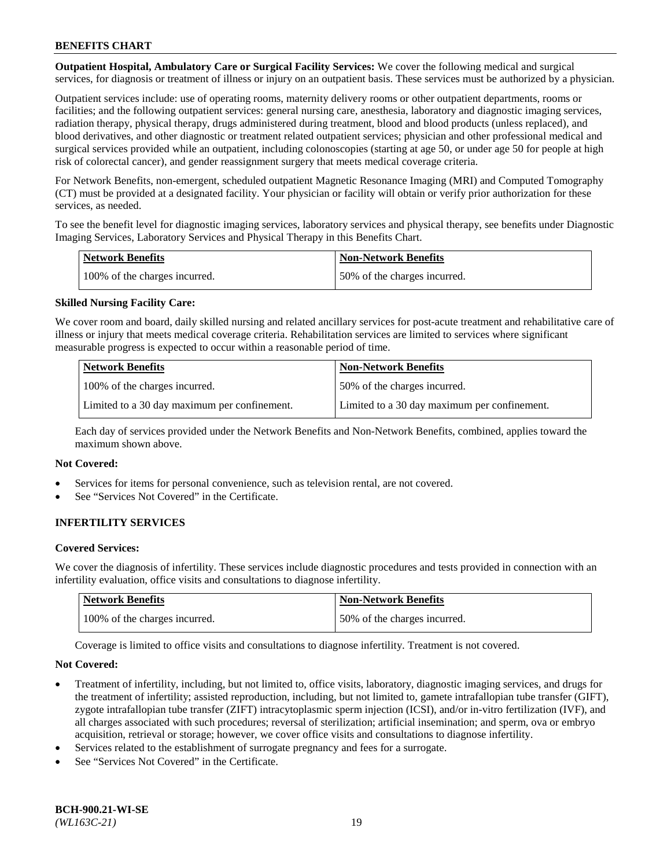**Outpatient Hospital, Ambulatory Care or Surgical Facility Services:** We cover the following medical and surgical services, for diagnosis or treatment of illness or injury on an outpatient basis. These services must be authorized by a physician.

Outpatient services include: use of operating rooms, maternity delivery rooms or other outpatient departments, rooms or facilities; and the following outpatient services: general nursing care, anesthesia, laboratory and diagnostic imaging services, radiation therapy, physical therapy, drugs administered during treatment, blood and blood products (unless replaced), and blood derivatives, and other diagnostic or treatment related outpatient services; physician and other professional medical and surgical services provided while an outpatient, including colonoscopies (starting at age 50, or under age 50 for people at high risk of colorectal cancer), and gender reassignment surgery that meets medical coverage criteria.

For Network Benefits, non-emergent, scheduled outpatient Magnetic Resonance Imaging (MRI) and Computed Tomography (CT) must be provided at a designated facility. Your physician or facility will obtain or verify prior authorization for these services, as needed.

To see the benefit level for diagnostic imaging services, laboratory services and physical therapy, see benefits under Diagnostic Imaging Services, Laboratory Services and Physical Therapy in this Benefits Chart.

| <b>Network Benefits</b>       | <b>Non-Network Benefits</b>  |
|-------------------------------|------------------------------|
| 100% of the charges incurred. | 50% of the charges incurred. |

### **Skilled Nursing Facility Care:**

We cover room and board, daily skilled nursing and related ancillary services for post-acute treatment and rehabilitative care of illness or injury that meets medical coverage criteria. Rehabilitation services are limited to services where significant measurable progress is expected to occur within a reasonable period of time.

| <b>Network Benefits</b>                      | <b>Non-Network Benefits</b>                  |
|----------------------------------------------|----------------------------------------------|
| 100% of the charges incurred.                | 150% of the charges incurred.                |
| Limited to a 30 day maximum per confinement. | Limited to a 30 day maximum per confinement. |

Each day of services provided under the Network Benefits and Non-Network Benefits, combined, applies toward the maximum shown above.

#### **Not Covered:**

- Services for items for personal convenience, such as television rental, are not covered.
- See "Services Not Covered" in the Certificate.

### **INFERTILITY SERVICES**

#### **Covered Services:**

We cover the diagnosis of infertility. These services include diagnostic procedures and tests provided in connection with an infertility evaluation, office visits and consultations to diagnose infertility.

| <b>Network Benefits</b>       | <b>Non-Network Benefits</b>  |
|-------------------------------|------------------------------|
| 100% of the charges incurred. | 50% of the charges incurred. |

Coverage is limited to office visits and consultations to diagnose infertility. Treatment is not covered.

#### **Not Covered:**

- Treatment of infertility, including, but not limited to, office visits, laboratory, diagnostic imaging services, and drugs for the treatment of infertility; assisted reproduction, including, but not limited to, gamete intrafallopian tube transfer (GIFT), zygote intrafallopian tube transfer (ZIFT) intracytoplasmic sperm injection (ICSI), and/or in-vitro fertilization (IVF), and all charges associated with such procedures; reversal of sterilization; artificial insemination; and sperm, ova or embryo acquisition, retrieval or storage; however, we cover office visits and consultations to diagnose infertility.
- Services related to the establishment of surrogate pregnancy and fees for a surrogate.
- See "Services Not Covered" in the Certificate.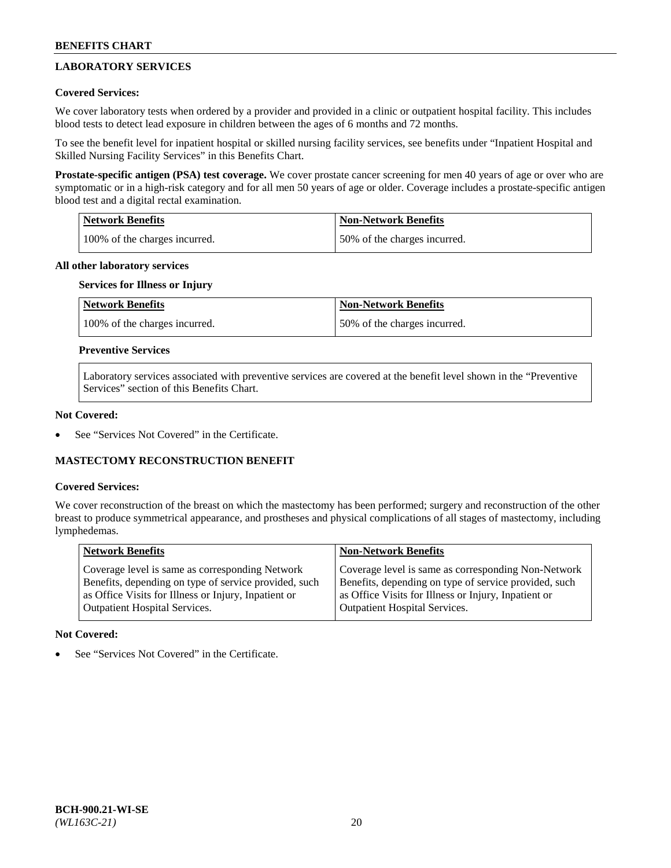# **LABORATORY SERVICES**

### **Covered Services:**

We cover laboratory tests when ordered by a provider and provided in a clinic or outpatient hospital facility. This includes blood tests to detect lead exposure in children between the ages of 6 months and 72 months.

To see the benefit level for inpatient hospital or skilled nursing facility services, see benefits under "Inpatient Hospital and Skilled Nursing Facility Services" in this Benefits Chart.

**Prostate-specific antigen (PSA) test coverage.** We cover prostate cancer screening for men 40 years of age or over who are symptomatic or in a high-risk category and for all men 50 years of age or older. Coverage includes a prostate-specific antigen blood test and a digital rectal examination.

| Network Benefits              | <b>Non-Network Benefits</b>  |
|-------------------------------|------------------------------|
| 100% of the charges incurred. | 50% of the charges incurred. |

### **All other laboratory services**

# **Services for Illness or Injury**

| <b>Network Benefits</b>       | <b>Non-Network Benefits</b>  |
|-------------------------------|------------------------------|
| 100% of the charges incurred. | 50% of the charges incurred. |

### **Preventive Services**

Laboratory services associated with preventive services are covered at the benefit level shown in the "Preventive Services" section of this Benefits Chart.

#### **Not Covered:**

See "Services Not Covered" in the Certificate.

### **MASTECTOMY RECONSTRUCTION BENEFIT**

#### **Covered Services:**

We cover reconstruction of the breast on which the mastectomy has been performed; surgery and reconstruction of the other breast to produce symmetrical appearance, and prostheses and physical complications of all stages of mastectomy, including lymphedemas.

| <b>Network Benefits</b>                               | <b>Non-Network Benefits</b>                           |
|-------------------------------------------------------|-------------------------------------------------------|
| Coverage level is same as corresponding Network       | Coverage level is same as corresponding Non-Network   |
| Benefits, depending on type of service provided, such | Benefits, depending on type of service provided, such |
| as Office Visits for Illness or Injury, Inpatient or  | as Office Visits for Illness or Injury, Inpatient or  |
| Outpatient Hospital Services.                         | <b>Outpatient Hospital Services.</b>                  |

#### **Not Covered:**

See "Services Not Covered" in the Certificate.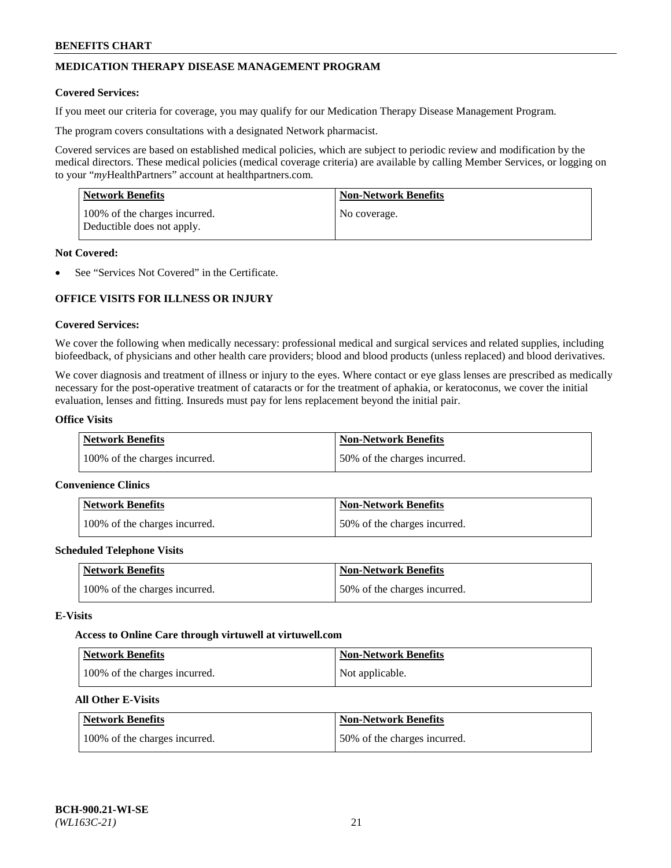# **MEDICATION THERAPY DISEASE MANAGEMENT PROGRAM**

#### **Covered Services:**

If you meet our criteria for coverage, you may qualify for our Medication Therapy Disease Management Program.

The program covers consultations with a designated Network pharmacist.

Covered services are based on established medical policies, which are subject to periodic review and modification by the medical directors. These medical policies (medical coverage criteria) are available by calling Member Services, or logging on to your "*my*HealthPartners" account at [healthpartners.com.](http://www.healthpartners.com/)

| Network Benefits                                            | <b>Non-Network Benefits</b> |
|-------------------------------------------------------------|-----------------------------|
| 100% of the charges incurred.<br>Deductible does not apply. | No coverage.                |

### **Not Covered:**

• See "Services Not Covered" in the Certificate.

# **OFFICE VISITS FOR ILLNESS OR INJURY**

#### **Covered Services:**

We cover the following when medically necessary: professional medical and surgical services and related supplies, including biofeedback, of physicians and other health care providers; blood and blood products (unless replaced) and blood derivatives.

We cover diagnosis and treatment of illness or injury to the eyes. Where contact or eye glass lenses are prescribed as medically necessary for the post-operative treatment of cataracts or for the treatment of aphakia, or keratoconus, we cover the initial evaluation, lenses and fitting. Insureds must pay for lens replacement beyond the initial pair.

# **Office Visits**

| <b>Network Benefits</b>       | <b>Non-Network Benefits</b>  |
|-------------------------------|------------------------------|
| 100% of the charges incurred. | 50% of the charges incurred. |

#### **Convenience Clinics**

| Network Benefits              | <b>Non-Network Benefits</b>  |
|-------------------------------|------------------------------|
| 100% of the charges incurred. | 50% of the charges incurred. |

#### **Scheduled Telephone Visits**

| <b>Network Benefits</b>       | Non-Network Benefits         |
|-------------------------------|------------------------------|
| 100% of the charges incurred. | 50% of the charges incurred. |

#### **E-Visits**

# **Access to Online Care through virtuwell a[t virtuwell.com](https://www.virtuwell.com/)**

| Network Benefits              | <b>Non-Network Benefits</b> |
|-------------------------------|-----------------------------|
| 100% of the charges incurred. | Not applicable.             |

# **All Other E-Visits**

| <b>Network Benefits</b>       | <b>Non-Network Benefits</b>  |
|-------------------------------|------------------------------|
| 100% of the charges incurred. | 50% of the charges incurred. |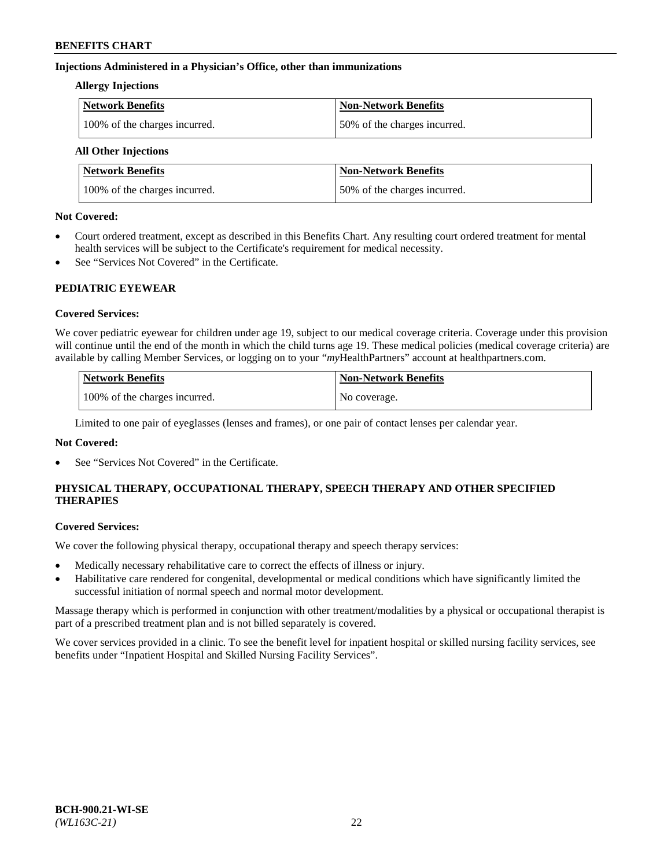### **Injections Administered in a Physician's Office, other than immunizations**

#### **Allergy Injections**

| Network Benefits              | <b>Non-Network Benefits</b>  |
|-------------------------------|------------------------------|
| 100% of the charges incurred. | 50% of the charges incurred. |

# **All Other Injections**

| <b>Network Benefits</b>       | <b>Non-Network Benefits</b>  |
|-------------------------------|------------------------------|
| 100% of the charges incurred. | 50% of the charges incurred. |

#### **Not Covered:**

- Court ordered treatment, except as described in this Benefits Chart. Any resulting court ordered treatment for mental health services will be subject to the Certificate's requirement for medical necessity.
- See "Services Not Covered" in the Certificate.

### **PEDIATRIC EYEWEAR**

### **Covered Services:**

We cover pediatric eyewear for children under age 19, subject to our medical coverage criteria. Coverage under this provision will continue until the end of the month in which the child turns age 19. These medical policies (medical coverage criteria) are available by calling Member Services, or logging on to your "*my*HealthPartners" account a[t healthpartners.com.](https://www.healthpartners.com/hp/index.html)

| Network Benefits              | <b>Non-Network Benefits</b> |
|-------------------------------|-----------------------------|
| 100% of the charges incurred. | No coverage.                |

Limited to one pair of eyeglasses (lenses and frames), or one pair of contact lenses per calendar year.

### **Not Covered:**

See "Services Not Covered" in the Certificate.

# **PHYSICAL THERAPY, OCCUPATIONAL THERAPY, SPEECH THERAPY AND OTHER SPECIFIED THERAPIES**

#### **Covered Services:**

We cover the following physical therapy, occupational therapy and speech therapy services:

- Medically necessary rehabilitative care to correct the effects of illness or injury.
- Habilitative care rendered for congenital, developmental or medical conditions which have significantly limited the successful initiation of normal speech and normal motor development.

Massage therapy which is performed in conjunction with other treatment/modalities by a physical or occupational therapist is part of a prescribed treatment plan and is not billed separately is covered.

We cover services provided in a clinic. To see the benefit level for inpatient hospital or skilled nursing facility services, see benefits under "Inpatient Hospital and Skilled Nursing Facility Services".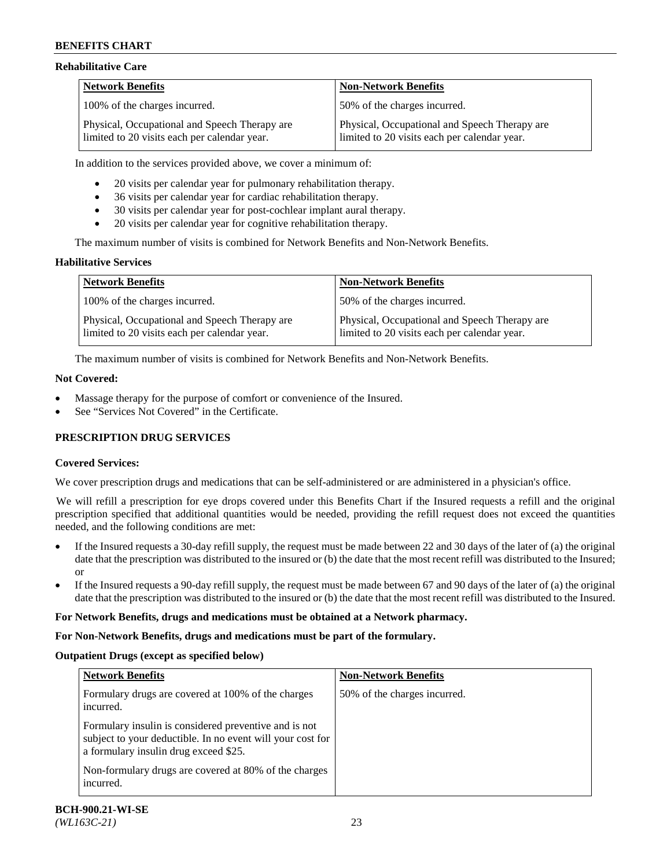### **Rehabilitative Care**

| <b>Network Benefits</b>                                                                       | <b>Non-Network Benefits</b>                                                                   |
|-----------------------------------------------------------------------------------------------|-----------------------------------------------------------------------------------------------|
| 100% of the charges incurred.                                                                 | 50% of the charges incurred.                                                                  |
| Physical, Occupational and Speech Therapy are<br>limited to 20 visits each per calendar year. | Physical, Occupational and Speech Therapy are<br>limited to 20 visits each per calendar year. |

In addition to the services provided above, we cover a minimum of:

- 20 visits per calendar year for pulmonary rehabilitation therapy.
- 36 visits per calendar year for cardiac rehabilitation therapy.
- 30 visits per calendar year for post-cochlear implant aural therapy.
- 20 visits per calendar year for cognitive rehabilitation therapy.

The maximum number of visits is combined for Network Benefits and Non-Network Benefits.

### **Habilitative Services**

| <b>Network Benefits</b>                                                                       | <b>Non-Network Benefits</b>                                                                   |
|-----------------------------------------------------------------------------------------------|-----------------------------------------------------------------------------------------------|
| 100% of the charges incurred.                                                                 | 50% of the charges incurred.                                                                  |
| Physical, Occupational and Speech Therapy are<br>limited to 20 visits each per calendar year. | Physical, Occupational and Speech Therapy are<br>limited to 20 visits each per calendar year. |

The maximum number of visits is combined for Network Benefits and Non-Network Benefits.

#### **Not Covered:**

- Massage therapy for the purpose of comfort or convenience of the Insured.
- See "Services Not Covered" in the Certificate.

### **PRESCRIPTION DRUG SERVICES**

### **Covered Services:**

We cover prescription drugs and medications that can be self-administered or are administered in a physician's office.

We will refill a prescription for eye drops covered under this Benefits Chart if the Insured requests a refill and the original prescription specified that additional quantities would be needed, providing the refill request does not exceed the quantities needed, and the following conditions are met:

- If the Insured requests a 30-day refill supply, the request must be made between 22 and 30 days of the later of (a) the original date that the prescription was distributed to the insured or (b) the date that the most recent refill was distributed to the Insured; or
- If the Insured requests a 90-day refill supply, the request must be made between 67 and 90 days of the later of (a) the original date that the prescription was distributed to the insured or (b) the date that the most recent refill was distributed to the Insured.

#### **For Network Benefits, drugs and medications must be obtained at a Network pharmacy.**

#### **For Non-Network Benefits, drugs and medications must be part of the formulary.**

#### **Outpatient Drugs (except as specified below)**

| <b>Network Benefits</b>                                                                                                                                      | <b>Non-Network Benefits</b>  |
|--------------------------------------------------------------------------------------------------------------------------------------------------------------|------------------------------|
| Formulary drugs are covered at 100% of the charges<br>incurred.                                                                                              | 50% of the charges incurred. |
| Formulary insulin is considered preventive and is not<br>subject to your deductible. In no event will your cost for<br>a formulary insulin drug exceed \$25. |                              |
| Non-formulary drugs are covered at 80% of the charges<br>incurred.                                                                                           |                              |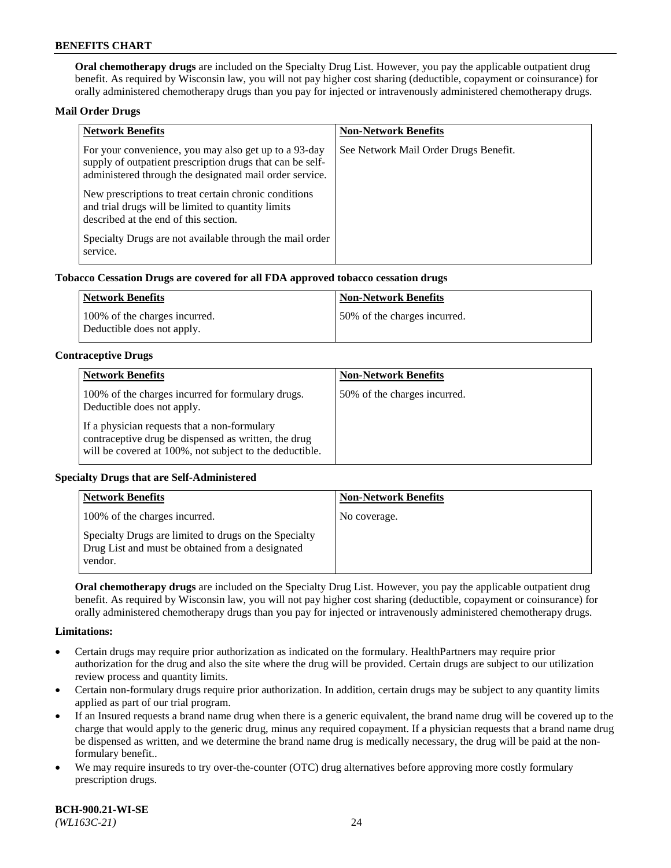**Oral chemotherapy drugs** are included on the Specialty Drug List. However, you pay the applicable outpatient drug benefit. As required by Wisconsin law, you will not pay higher cost sharing (deductible, copayment or coinsurance) for orally administered chemotherapy drugs than you pay for injected or intravenously administered chemotherapy drugs.

#### **Mail Order Drugs**

| <b>Network Benefits</b>                                                                                                                                                       | <b>Non-Network Benefits</b>           |
|-------------------------------------------------------------------------------------------------------------------------------------------------------------------------------|---------------------------------------|
| For your convenience, you may also get up to a 93-day<br>supply of outpatient prescription drugs that can be self-<br>administered through the designated mail order service. | See Network Mail Order Drugs Benefit. |
| New prescriptions to treat certain chronic conditions<br>and trial drugs will be limited to quantity limits<br>described at the end of this section.                          |                                       |
| Specialty Drugs are not available through the mail order<br>service.                                                                                                          |                                       |

#### **Tobacco Cessation Drugs are covered for all FDA approved tobacco cessation drugs**

| Network Benefits                                            | Non-Network Benefits         |
|-------------------------------------------------------------|------------------------------|
| 100% of the charges incurred.<br>Deductible does not apply. | 50% of the charges incurred. |

#### **Contraceptive Drugs**

| <b>Network Benefits</b>                                                                                                                                         | <b>Non-Network Benefits</b>  |
|-----------------------------------------------------------------------------------------------------------------------------------------------------------------|------------------------------|
| 100% of the charges incurred for formulary drugs.<br>Deductible does not apply.                                                                                 | 50% of the charges incurred. |
| If a physician requests that a non-formulary<br>contraceptive drug be dispensed as written, the drug<br>will be covered at 100%, not subject to the deductible. |                              |

### **Specialty Drugs that are Self-Administered**

| <b>Network Benefits</b>                                                                                              | <b>Non-Network Benefits</b> |
|----------------------------------------------------------------------------------------------------------------------|-----------------------------|
| 100% of the charges incurred.                                                                                        | No coverage.                |
| Specialty Drugs are limited to drugs on the Specialty<br>Drug List and must be obtained from a designated<br>vendor. |                             |

**Oral chemotherapy drugs** are included on the Specialty Drug List. However, you pay the applicable outpatient drug benefit. As required by Wisconsin law, you will not pay higher cost sharing (deductible, copayment or coinsurance) for orally administered chemotherapy drugs than you pay for injected or intravenously administered chemotherapy drugs.

#### **Limitations:**

- Certain drugs may require prior authorization as indicated on the formulary. HealthPartners may require prior authorization for the drug and also the site where the drug will be provided. Certain drugs are subject to our utilization review process and quantity limits.
- Certain non-formulary drugs require prior authorization. In addition, certain drugs may be subject to any quantity limits applied as part of our trial program.
- If an Insured requests a brand name drug when there is a generic equivalent, the brand name drug will be covered up to the charge that would apply to the generic drug, minus any required copayment. If a physician requests that a brand name drug be dispensed as written, and we determine the brand name drug is medically necessary, the drug will be paid at the nonformulary benefit..
- We may require insureds to try over-the-counter (OTC) drug alternatives before approving more costly formulary prescription drugs.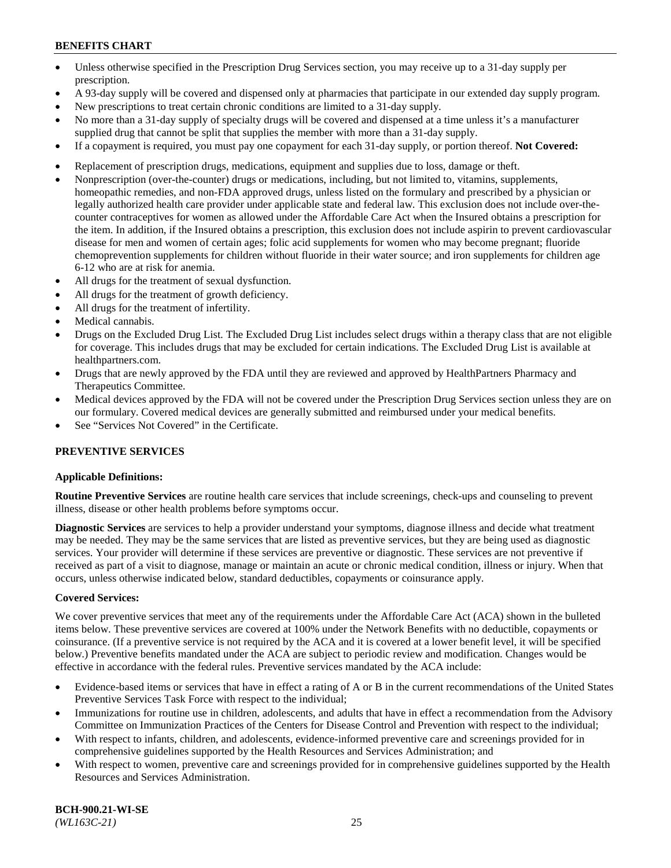- Unless otherwise specified in the Prescription Drug Services section, you may receive up to a 31-day supply per prescription.
- A 93-day supply will be covered and dispensed only at pharmacies that participate in our extended day supply program.
- New prescriptions to treat certain chronic conditions are limited to a 31-day supply.
- No more than a 31-day supply of specialty drugs will be covered and dispensed at a time unless it's a manufacturer supplied drug that cannot be split that supplies the member with more than a 31-day supply.
- If a copayment is required, you must pay one copayment for each 31-day supply, or portion thereof. **Not Covered:**
- Replacement of prescription drugs, medications, equipment and supplies due to loss, damage or theft.
- Nonprescription (over-the-counter) drugs or medications, including, but not limited to, vitamins, supplements, homeopathic remedies, and non-FDA approved drugs, unless listed on the formulary and prescribed by a physician or legally authorized health care provider under applicable state and federal law. This exclusion does not include over-thecounter contraceptives for women as allowed under the Affordable Care Act when the Insured obtains a prescription for the item. In addition, if the Insured obtains a prescription, this exclusion does not include aspirin to prevent cardiovascular disease for men and women of certain ages; folic acid supplements for women who may become pregnant; fluoride chemoprevention supplements for children without fluoride in their water source; and iron supplements for children age 6-12 who are at risk for anemia.
- All drugs for the treatment of sexual dysfunction.
- All drugs for the treatment of growth deficiency.
- All drugs for the treatment of infertility.
- Medical cannabis.
- Drugs on the Excluded Drug List. The Excluded Drug List includes select drugs within a therapy class that are not eligible for coverage. This includes drugs that may be excluded for certain indications. The Excluded Drug List is available at [healthpartners.com.](http://www.healthpartners.com/)
- Drugs that are newly approved by the FDA until they are reviewed and approved by HealthPartners Pharmacy and Therapeutics Committee.
- Medical devices approved by the FDA will not be covered under the Prescription Drug Services section unless they are on our formulary. Covered medical devices are generally submitted and reimbursed under your medical benefits.
- See "Services Not Covered" in the Certificate.

### **PREVENTIVE SERVICES**

#### **Applicable Definitions:**

**Routine Preventive Services** are routine health care services that include screenings, check-ups and counseling to prevent illness, disease or other health problems before symptoms occur.

**Diagnostic Services** are services to help a provider understand your symptoms, diagnose illness and decide what treatment may be needed. They may be the same services that are listed as preventive services, but they are being used as diagnostic services. Your provider will determine if these services are preventive or diagnostic. These services are not preventive if received as part of a visit to diagnose, manage or maintain an acute or chronic medical condition, illness or injury. When that occurs, unless otherwise indicated below, standard deductibles, copayments or coinsurance apply.

#### **Covered Services:**

We cover preventive services that meet any of the requirements under the Affordable Care Act (ACA) shown in the bulleted items below. These preventive services are covered at 100% under the Network Benefits with no deductible, copayments or coinsurance. (If a preventive service is not required by the ACA and it is covered at a lower benefit level, it will be specified below.) Preventive benefits mandated under the ACA are subject to periodic review and modification. Changes would be effective in accordance with the federal rules. Preventive services mandated by the ACA include:

- Evidence-based items or services that have in effect a rating of A or B in the current recommendations of the United States Preventive Services Task Force with respect to the individual;
- Immunizations for routine use in children, adolescents, and adults that have in effect a recommendation from the Advisory Committee on Immunization Practices of the Centers for Disease Control and Prevention with respect to the individual;
- With respect to infants, children, and adolescents, evidence-informed preventive care and screenings provided for in comprehensive guidelines supported by the Health Resources and Services Administration; and
- With respect to women, preventive care and screenings provided for in comprehensive guidelines supported by the Health Resources and Services Administration.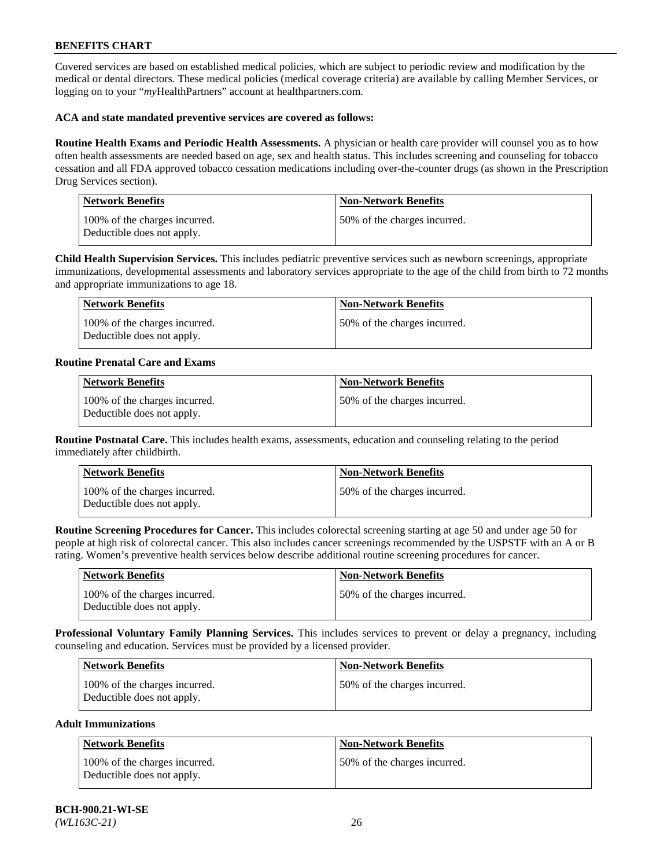Covered services are based on established medical policies, which are subject to periodic review and modification by the medical or dental directors. These medical policies (medical coverage criteria) are available by calling Member Services, or logging on to your "*my*HealthPartners" account at [healthpartners.com.](https://www.healthpartners.com/hp/index.html)

### **ACA and state mandated preventive services are covered as follows:**

**Routine Health Exams and Periodic Health Assessments.** A physician or health care provider will counsel you as to how often health assessments are needed based on age, sex and health status. This includes screening and counseling for tobacco cessation and all FDA approved tobacco cessation medications including over-the-counter drugs (as shown in the Prescription Drug Services section).

| <b>Network Benefits</b>                                     | <b>Non-Network Benefits</b>  |
|-------------------------------------------------------------|------------------------------|
| 100% of the charges incurred.<br>Deductible does not apply. | 50% of the charges incurred. |

**Child Health Supervision Services.** This includes pediatric preventive services such as newborn screenings, appropriate immunizations, developmental assessments and laboratory services appropriate to the age of the child from birth to 72 months and appropriate immunizations to age 18.

| Network Benefits                                            | Non-Network Benefits         |
|-------------------------------------------------------------|------------------------------|
| 100% of the charges incurred.<br>Deductible does not apply. | 50% of the charges incurred. |

### **Routine Prenatal Care and Exams**

| <b>Network Benefits</b>                                     | <b>Non-Network Benefits</b>  |
|-------------------------------------------------------------|------------------------------|
| 100% of the charges incurred.<br>Deductible does not apply. | 50% of the charges incurred. |

**Routine Postnatal Care.** This includes health exams, assessments, education and counseling relating to the period immediately after childbirth.

| Network Benefits                                            | <b>Non-Network Benefits</b>  |
|-------------------------------------------------------------|------------------------------|
| 100% of the charges incurred.<br>Deductible does not apply. | 50% of the charges incurred. |

**Routine Screening Procedures for Cancer.** This includes colorectal screening starting at age 50 and under age 50 for people at high risk of colorectal cancer. This also includes cancer screenings recommended by the USPSTF with an A or B rating. Women's preventive health services below describe additional routine screening procedures for cancer.

| <b>Network Benefits</b>                                     | Non-Network Benefits         |
|-------------------------------------------------------------|------------------------------|
| 100% of the charges incurred.<br>Deductible does not apply. | 50% of the charges incurred. |

**Professional Voluntary Family Planning Services.** This includes services to prevent or delay a pregnancy, including counseling and education. Services must be provided by a licensed provider.

| <b>Network Benefits</b>                                     | <b>Non-Network Benefits</b>   |
|-------------------------------------------------------------|-------------------------------|
| 100% of the charges incurred.<br>Deductible does not apply. | 150% of the charges incurred. |

#### **Adult Immunizations**

| <b>Network Benefits</b>                                     | <b>Non-Network Benefits</b>  |
|-------------------------------------------------------------|------------------------------|
| 100% of the charges incurred.<br>Deductible does not apply. | 50% of the charges incurred. |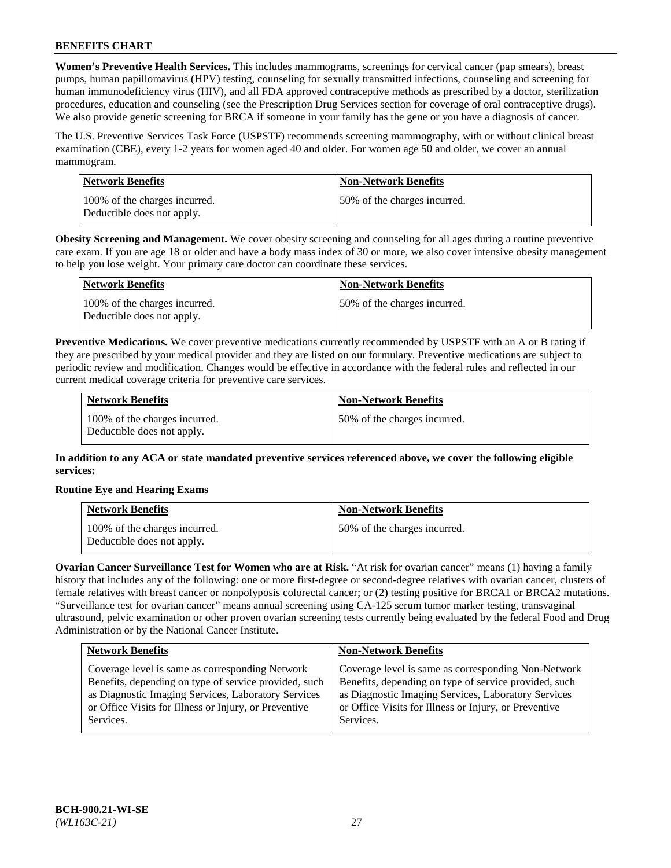**Women's Preventive Health Services.** This includes mammograms, screenings for cervical cancer (pap smears), breast pumps, human papillomavirus (HPV) testing, counseling for sexually transmitted infections, counseling and screening for human immunodeficiency virus (HIV), and all FDA approved contraceptive methods as prescribed by a doctor, sterilization procedures, education and counseling (see the Prescription Drug Services section for coverage of oral contraceptive drugs). We also provide genetic screening for BRCA if someone in your family has the gene or you have a diagnosis of cancer.

The U.S. Preventive Services Task Force (USPSTF) recommends screening mammography, with or without clinical breast examination (CBE), every 1-2 years for women aged 40 and older. For women age 50 and older, we cover an annual mammogram.

| Network Benefits                                            | <b>Non-Network Benefits</b>  |
|-------------------------------------------------------------|------------------------------|
| 100% of the charges incurred.<br>Deductible does not apply. | 50% of the charges incurred. |

**Obesity Screening and Management.** We cover obesity screening and counseling for all ages during a routine preventive care exam. If you are age 18 or older and have a body mass index of 30 or more, we also cover intensive obesity management to help you lose weight. Your primary care doctor can coordinate these services.

| Network Benefits                                            | <b>Non-Network Benefits</b>  |
|-------------------------------------------------------------|------------------------------|
| 100% of the charges incurred.<br>Deductible does not apply. | 50% of the charges incurred. |

**Preventive Medications.** We cover preventive medications currently recommended by USPSTF with an A or B rating if they are prescribed by your medical provider and they are listed on our formulary. Preventive medications are subject to periodic review and modification. Changes would be effective in accordance with the federal rules and reflected in our current medical coverage criteria for preventive care services.

| <b>Network Benefits</b>                                     | <b>Non-Network Benefits</b>  |
|-------------------------------------------------------------|------------------------------|
| 100% of the charges incurred.<br>Deductible does not apply. | 50% of the charges incurred. |

**In addition to any ACA or state mandated preventive services referenced above, we cover the following eligible services:**

### **Routine Eye and Hearing Exams**

| <b>Network Benefits</b>                                     | <b>Non-Network Benefits</b>  |
|-------------------------------------------------------------|------------------------------|
| 100% of the charges incurred.<br>Deductible does not apply. | 50% of the charges incurred. |

**Ovarian Cancer Surveillance Test for Women who are at Risk.** "At risk for ovarian cancer" means (1) having a family history that includes any of the following: one or more first-degree or second-degree relatives with ovarian cancer, clusters of female relatives with breast cancer or nonpolyposis colorectal cancer; or (2) testing positive for BRCA1 or BRCA2 mutations. "Surveillance test for ovarian cancer" means annual screening using CA-125 serum tumor marker testing, transvaginal ultrasound, pelvic examination or other proven ovarian screening tests currently being evaluated by the federal Food and Drug Administration or by the National Cancer Institute.

| <b>Network Benefits</b>                               | <b>Non-Network Benefits</b>                           |
|-------------------------------------------------------|-------------------------------------------------------|
| Coverage level is same as corresponding Network       | Coverage level is same as corresponding Non-Network   |
| Benefits, depending on type of service provided, such | Benefits, depending on type of service provided, such |
| as Diagnostic Imaging Services, Laboratory Services   | as Diagnostic Imaging Services, Laboratory Services   |
| or Office Visits for Illness or Injury, or Preventive | or Office Visits for Illness or Injury, or Preventive |
| Services.                                             | Services.                                             |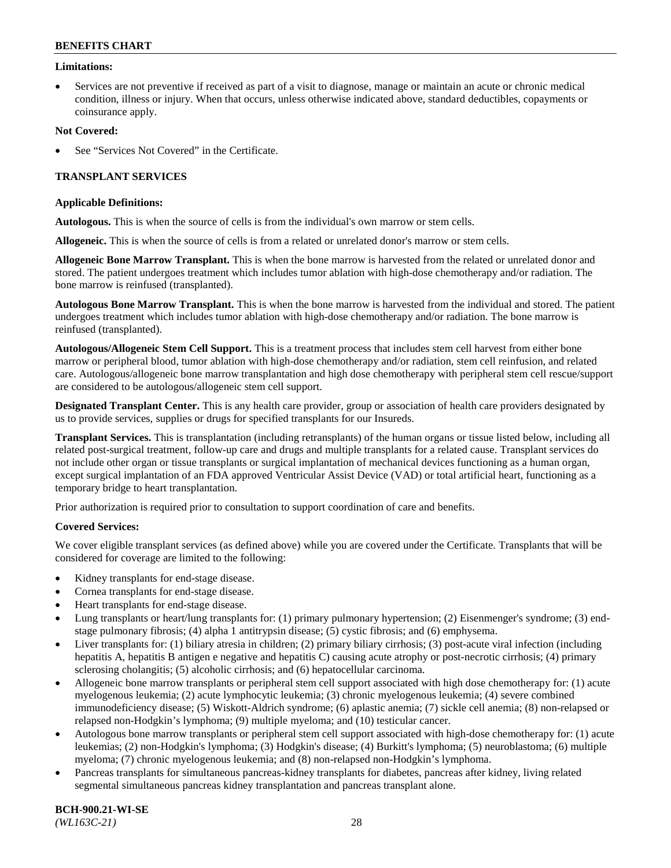### **Limitations:**

• Services are not preventive if received as part of a visit to diagnose, manage or maintain an acute or chronic medical condition, illness or injury. When that occurs, unless otherwise indicated above, standard deductibles, copayments or coinsurance apply.

### **Not Covered:**

See "Services Not Covered" in the Certificate.

### **TRANSPLANT SERVICES**

#### **Applicable Definitions:**

**Autologous.** This is when the source of cells is from the individual's own marrow or stem cells.

**Allogeneic.** This is when the source of cells is from a related or unrelated donor's marrow or stem cells.

**Allogeneic Bone Marrow Transplant.** This is when the bone marrow is harvested from the related or unrelated donor and stored. The patient undergoes treatment which includes tumor ablation with high-dose chemotherapy and/or radiation. The bone marrow is reinfused (transplanted).

**Autologous Bone Marrow Transplant.** This is when the bone marrow is harvested from the individual and stored. The patient undergoes treatment which includes tumor ablation with high-dose chemotherapy and/or radiation. The bone marrow is reinfused (transplanted).

**Autologous/Allogeneic Stem Cell Support.** This is a treatment process that includes stem cell harvest from either bone marrow or peripheral blood, tumor ablation with high-dose chemotherapy and/or radiation, stem cell reinfusion, and related care. Autologous/allogeneic bone marrow transplantation and high dose chemotherapy with peripheral stem cell rescue/support are considered to be autologous/allogeneic stem cell support.

**Designated Transplant Center.** This is any health care provider, group or association of health care providers designated by us to provide services, supplies or drugs for specified transplants for our Insureds.

**Transplant Services.** This is transplantation (including retransplants) of the human organs or tissue listed below, including all related post-surgical treatment, follow-up care and drugs and multiple transplants for a related cause. Transplant services do not include other organ or tissue transplants or surgical implantation of mechanical devices functioning as a human organ, except surgical implantation of an FDA approved Ventricular Assist Device (VAD) or total artificial heart, functioning as a temporary bridge to heart transplantation.

Prior authorization is required prior to consultation to support coordination of care and benefits.

### **Covered Services:**

We cover eligible transplant services (as defined above) while you are covered under the Certificate. Transplants that will be considered for coverage are limited to the following:

- Kidney transplants for end-stage disease.
- Cornea transplants for end-stage disease.
- Heart transplants for end-stage disease.
- Lung transplants or heart/lung transplants for: (1) primary pulmonary hypertension; (2) Eisenmenger's syndrome; (3) endstage pulmonary fibrosis; (4) alpha 1 antitrypsin disease; (5) cystic fibrosis; and (6) emphysema.
- Liver transplants for: (1) biliary atresia in children; (2) primary biliary cirrhosis; (3) post-acute viral infection (including hepatitis A, hepatitis B antigen e negative and hepatitis C) causing acute atrophy or post-necrotic cirrhosis; (4) primary sclerosing cholangitis; (5) alcoholic cirrhosis; and (6) hepatocellular carcinoma.
- Allogeneic bone marrow transplants or peripheral stem cell support associated with high dose chemotherapy for: (1) acute myelogenous leukemia; (2) acute lymphocytic leukemia; (3) chronic myelogenous leukemia; (4) severe combined immunodeficiency disease; (5) Wiskott-Aldrich syndrome; (6) aplastic anemia; (7) sickle cell anemia; (8) non-relapsed or relapsed non-Hodgkin's lymphoma; (9) multiple myeloma; and (10) testicular cancer.
- Autologous bone marrow transplants or peripheral stem cell support associated with high-dose chemotherapy for: (1) acute leukemias; (2) non-Hodgkin's lymphoma; (3) Hodgkin's disease; (4) Burkitt's lymphoma; (5) neuroblastoma; (6) multiple myeloma; (7) chronic myelogenous leukemia; and (8) non-relapsed non-Hodgkin's lymphoma.
- Pancreas transplants for simultaneous pancreas-kidney transplants for diabetes, pancreas after kidney, living related segmental simultaneous pancreas kidney transplantation and pancreas transplant alone.